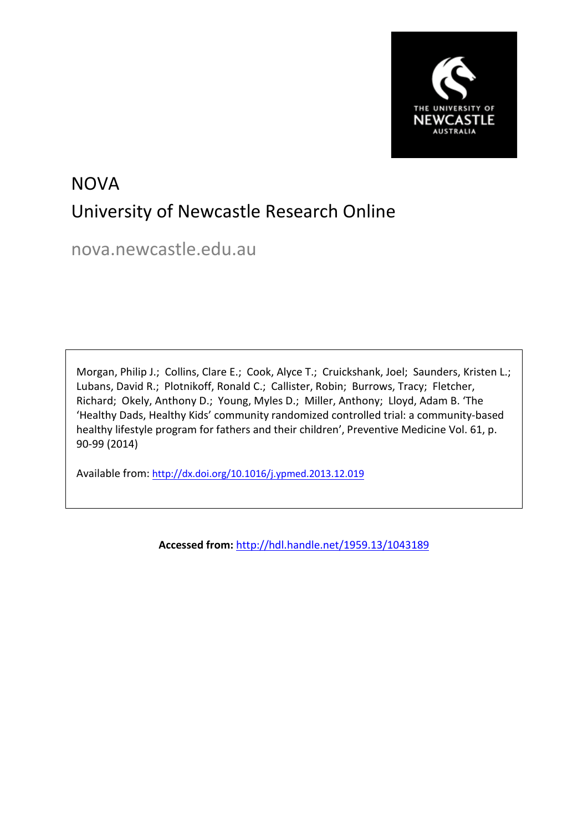

# **NOVA** University of Newcastle Research Online

nova.newcastle.edu.au

Morgan, Philip J.; Collins, Clare E.; Cook, Alyce T.; Cruickshank, Joel; Saunders, Kristen L.; Lubans, David R.; Plotnikoff, Ronald C.; Callister, Robin; Burrows, Tracy; Fletcher, Richard; Okely, Anthony D.; Young, Myles D.; Miller, Anthony; Lloyd, Adam B. 'The 'Healthy Dads, Healthy Kids' community randomized controlled trial: a community-based healthy lifestyle program for fathers and their children', Preventive Medicine Vol. 61, p. 90-99 (2014)

Available from: <http://dx.doi.org/10.1016/j.ypmed.2013.12.019>

**Accessed from:** <http://hdl.handle.net/1959.13/1043189>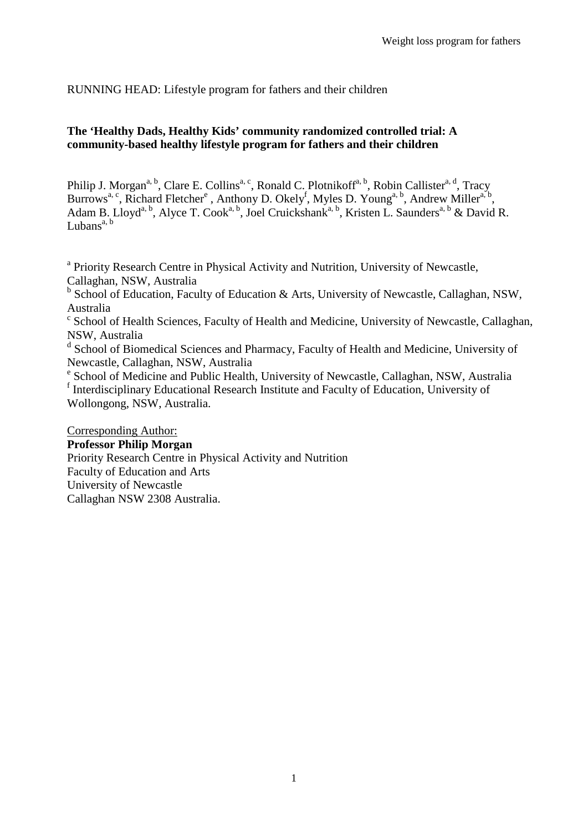RUNNING HEAD: Lifestyle program for fathers and their children

# **The 'Healthy Dads, Healthy Kids' community randomized controlled trial: A community-based healthy lifestyle program for fathers and their children**

Philip J. Morgan<sup>a, b</sup>, Clare E. Collins<sup>a, c</sup>, Ronald C. Plotnikoff<sup>a, b</sup>, Robin Callister<sup>a, d</sup>, Tracy Burrows<sup>a, c</sup>, Richard Fletcher<sup>e</sup>, Anthony D. Okely<sup>f</sup>, Myles D. Young<sup>a, b</sup>, Andrew Miller<sup>a, b</sup>, Adam B. Lloyd<sup>a, b</sup>, Alyce T. Cook<sup>a, b</sup>, Joel Cruickshank<sup>a, b</sup>, Kristen L. Saunders<sup>a, b</sup> & David R. Lubans<sup>a, b</sup>

<sup>a</sup> Priority Research Centre in Physical Activity and Nutrition, University of Newcastle, Callaghan, NSW, Australia

<sup>b</sup> School of Education, Faculty of Education & Arts, University of Newcastle, Callaghan, NSW, Australia

<sup>c</sup> School of Health Sciences, Faculty of Health and Medicine, University of Newcastle, Callaghan, NSW, Australia

<sup>d</sup> School of Biomedical Sciences and Pharmacy, Faculty of Health and Medicine, University of Newcastle, Callaghan, NSW, Australia<br>
<sup>e</sup> School of Medicine and Public Health, University of Newcastle, Callaghan, NSW, Australia

<sup>f</sup> Interdisciplinary Educational Research Institute and Faculty of Education, University of Wollongong, NSW, Australia.

Corresponding Author: **Professor Philip Morgan** Priority Research Centre in Physical Activity and Nutrition Faculty of Education and Arts University of Newcastle Callaghan NSW 2308 Australia.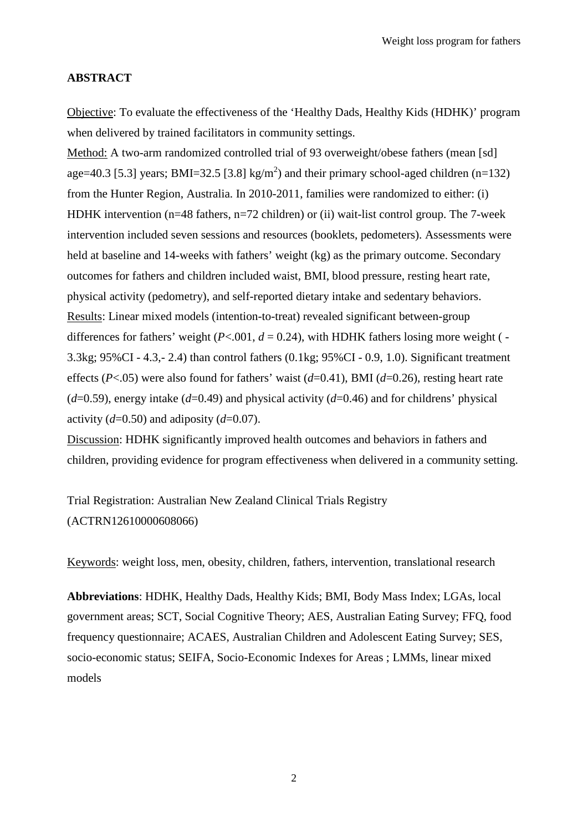# **ABSTRACT**

Objective: To evaluate the effectiveness of the 'Healthy Dads, Healthy Kids (HDHK)' program when delivered by trained facilitators in community settings.

Method: A two-arm randomized controlled trial of 93 overweight/obese fathers (mean [sd] age=40.3 [5.3] years; BMI=32.5 [3.8] kg/m<sup>2</sup>) and their primary school-aged children (n=132) from the Hunter Region, Australia. In 2010-2011, families were randomized to either: (i) HDHK intervention (n=48 fathers, n=72 children) or (ii) wait-list control group. The 7-week intervention included seven sessions and resources (booklets, pedometers). Assessments were held at baseline and 14-weeks with fathers' weight (kg) as the primary outcome. Secondary outcomes for fathers and children included waist, BMI, blood pressure, resting heart rate, physical activity (pedometry), and self-reported dietary intake and sedentary behaviors. Results: Linear mixed models (intention-to-treat) revealed significant between-group differences for fathers' weight ( $P < .001$ ,  $d = 0.24$ ), with HDHK fathers losing more weight ( $-$ 3.3kg; 95%CI - 4.3,- 2.4) than control fathers (0.1kg; 95%CI - 0.9, 1.0). Significant treatment effects (*P*<.05) were also found for fathers' waist (*d*=0.41), BMI (*d*=0.26), resting heart rate  $(d=0.59)$ , energy intake  $(d=0.49)$  and physical activity  $(d=0.46)$  and for childrens' physical activity  $(d=0.50)$  and adiposity  $(d=0.07)$ .

Discussion: HDHK significantly improved health outcomes and behaviors in fathers and children, providing evidence for program effectiveness when delivered in a community setting.

Trial Registration: Australian New Zealand Clinical Trials Registry (ACTRN12610000608066)

Keywords: weight loss, men, obesity, children, fathers, intervention, translational research

**Abbreviations**: HDHK, Healthy Dads, Healthy Kids; BMI, Body Mass Index; LGAs, local government areas; SCT, Social Cognitive Theory; AES, Australian Eating Survey; FFQ, food frequency questionnaire; ACAES, Australian Children and Adolescent Eating Survey; SES, socio-economic status; SEIFA, Socio-Economic Indexes for Areas ; LMMs, linear mixed models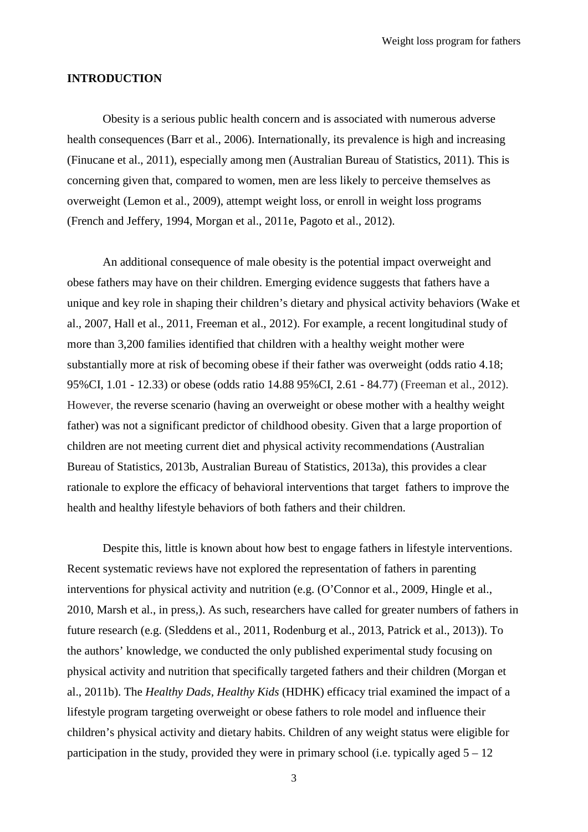#### **INTRODUCTION**

Obesity is a serious public health concern and is associated with numerous adverse health consequences [\(Barr et al., 2006\)](#page-15-0). Internationally, its prevalence is high and increasing [\(Finucane et al., 2011\)](#page-16-0), especially among men [\(Australian Bureau of Statistics, 2011\)](#page-15-1). This is concerning given that, compared to women, men are less likely to perceive themselves as overweight [\(Lemon et al., 2009\)](#page-16-1), attempt weight loss, or enroll in weight loss programs [\(French and Jeffery, 1994,](#page-16-2) [Morgan et al., 2011e,](#page-18-0) [Pagoto et al., 2012\)](#page-18-1).

An additional consequence of male obesity is the potential impact overweight and obese fathers may have on their children. Emerging evidence suggests that fathers have a unique and key role in shaping their children's dietary and physical activity behaviors [\(Wake et](#page-19-0)  [al., 2007,](#page-19-0) [Hall et al., 2011,](#page-16-3) [Freeman et al., 2012\)](#page-16-4). For example, a recent longitudinal study of more than 3,200 families identified that children with a healthy weight mother were substantially more at risk of becoming obese if their father was overweight (odds ratio 4.18; 95%CI, 1.01 - 12.33) or obese (odds ratio 14.88 95%CI, 2.61 - 84.77) [\(Freeman et al., 2012\)](#page-16-4). However, the reverse scenario (having an overweight or obese mother with a healthy weight father) was not a significant predictor of childhood obesity. Given that a large proportion of children are not meeting current diet and physical activity recommendations [\(Australian](#page-15-2)  [Bureau of Statistics, 2013b,](#page-15-2) [Australian Bureau of Statistics, 2013a\)](#page-15-3), this provides a clear rationale to explore the efficacy of behavioral interventions that target fathers to improve the health and healthy lifestyle behaviors of both fathers and their children.

Despite this, little is known about how best to engage fathers in lifestyle interventions. Recent systematic reviews have not explored the representation of fathers in parenting interventions for physical activity and nutrition (e.g. [\(O'Connor et al., 2009,](#page-18-2) [Hingle et al.,](#page-16-5)  [2010,](#page-16-5) [Marsh et al., in press,](#page-17-0)). As such, researchers have called for greater numbers of fathers in future research (e.g. [\(Sleddens et al., 2011,](#page-18-3) [Rodenburg et al., 2013,](#page-18-4) [Patrick et al., 2013\)](#page-18-5)). To the authors' knowledge, we conducted the only published experimental study focusing on physical activity and nutrition that specifically targeted fathers and their children [\(Morgan et](#page-17-1)  [al., 2011b\)](#page-17-1). The *Healthy Dads, Healthy Kids* (HDHK) efficacy trial examined the impact of a lifestyle program targeting overweight or obese fathers to role model and influence their children's physical activity and dietary habits. Children of any weight status were eligible for participation in the study, provided they were in primary school (i.e. typically aged  $5 - 12$ )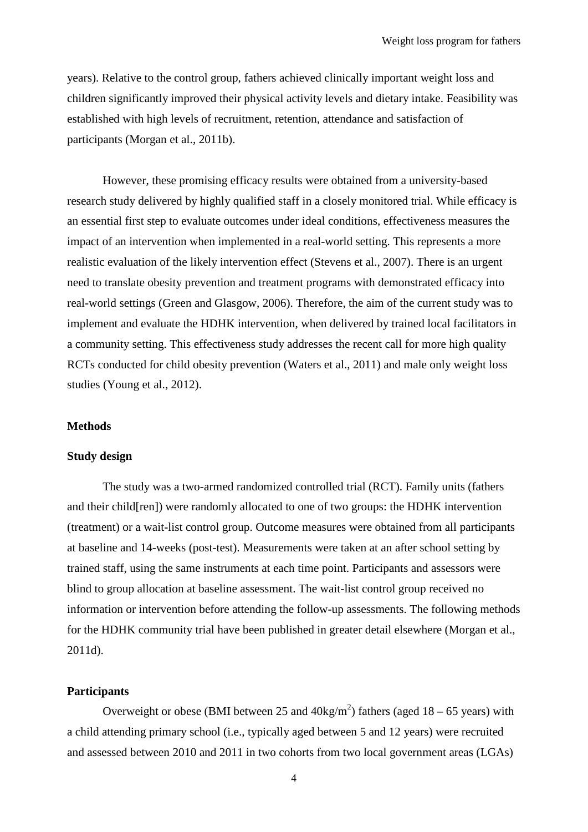years). Relative to the control group, fathers achieved clinically important weight loss and children significantly improved their physical activity levels and dietary intake. Feasibility was established with high levels of recruitment, retention, attendance and satisfaction of participants [\(Morgan et al., 2011b\)](#page-17-1).

However, these promising efficacy results were obtained from a university-based research study delivered by highly qualified staff in a closely monitored trial. While efficacy is an essential first step to evaluate outcomes under ideal conditions, effectiveness measures the impact of an intervention when implemented in a real-world setting. This represents a more realistic evaluation of the likely intervention effect [\(Stevens et al., 2007\)](#page-18-6). There is an urgent need to translate obesity prevention and treatment programs with demonstrated efficacy into real-world settings [\(Green and Glasgow, 2006\)](#page-16-6). Therefore, the aim of the current study was to implement and evaluate the HDHK intervention, when delivered by trained local facilitators in a community setting. This effectiveness study addresses the recent call for more high quality RCTs conducted for child obesity prevention [\(Waters et al., 2011\)](#page-19-1) and male only weight loss studies [\(Young et al., 2012\)](#page-19-2).

#### **Methods**

# **Study design**

The study was a two-armed randomized controlled trial (RCT). Family units (fathers and their child[ren]) were randomly allocated to one of two groups: the HDHK intervention (treatment) or a wait-list control group. Outcome measures were obtained from all participants at baseline and 14-weeks (post-test). Measurements were taken at an after school setting by trained staff, using the same instruments at each time point. Participants and assessors were blind to group allocation at baseline assessment. The wait-list control group received no information or intervention before attending the follow-up assessments. The following methods for the HDHK community trial have been published in greater detail elsewhere [\(Morgan et al.,](#page-17-2)  [2011d\)](#page-17-2).

#### **Participants**

Overweight or obese (BMI between 25 and  $40 \text{kg/m}^2$ ) fathers (aged 18 – 65 years) with a child attending primary school (i.e., typically aged between 5 and 12 years) were recruited and assessed between 2010 and 2011 in two cohorts from two local government areas (LGAs)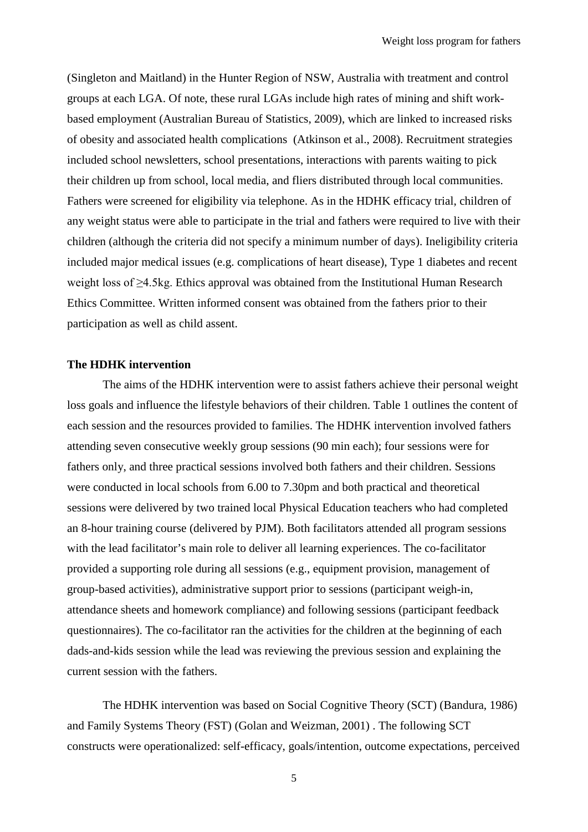(Singleton and Maitland) in the Hunter Region of NSW, Australia with treatment and control groups at each LGA. Of note, these rural LGAs include high rates of mining and shift workbased employment [\(Australian Bureau of Statistics, 2009\)](#page-15-4), which are linked to increased risks of obesity and associated health complications [\(Atkinson et al., 2008\)](#page-15-5). Recruitment strategies included school newsletters, school presentations, interactions with parents waiting to pick their children up from school, local media, and fliers distributed through local communities. Fathers were screened for eligibility via telephone. As in the HDHK efficacy trial, children of any weight status were able to participate in the trial and fathers were required to live with their children (although the criteria did not specify a minimum number of days). Ineligibility criteria included major medical issues (e.g. complications of heart disease), Type 1 diabetes and recent weight loss of ≥4.5kg. Ethics approval was obtained from the Institutional Human Research Ethics Committee. Written informed consent was obtained from the fathers prior to their participation as well as child assent.

# **The HDHK intervention**

The aims of the HDHK intervention were to assist fathers achieve their personal weight loss goals and influence the lifestyle behaviors of their children. Table 1 outlines the content of each session and the resources provided to families. The HDHK intervention involved fathers attending seven consecutive weekly group sessions (90 min each); four sessions were for fathers only, and three practical sessions involved both fathers and their children. Sessions were conducted in local schools from 6.00 to 7.30pm and both practical and theoretical sessions were delivered by two trained local Physical Education teachers who had completed an 8-hour training course (delivered by PJM). Both facilitators attended all program sessions with the lead facilitator's main role to deliver all learning experiences. The co-facilitator provided a supporting role during all sessions (e.g., equipment provision, management of group-based activities), administrative support prior to sessions (participant weigh-in, attendance sheets and homework compliance) and following sessions (participant feedback questionnaires). The co-facilitator ran the activities for the children at the beginning of each dads-and-kids session while the lead was reviewing the previous session and explaining the current session with the fathers.

The HDHK intervention was based on Social Cognitive Theory (SCT) [\(Bandura, 1986\)](#page-15-6) and Family Systems Theory (FST) [\(Golan and Weizman, 2001\)](#page-16-7) . The following SCT constructs were operationalized: self-efficacy, goals/intention, outcome expectations, perceived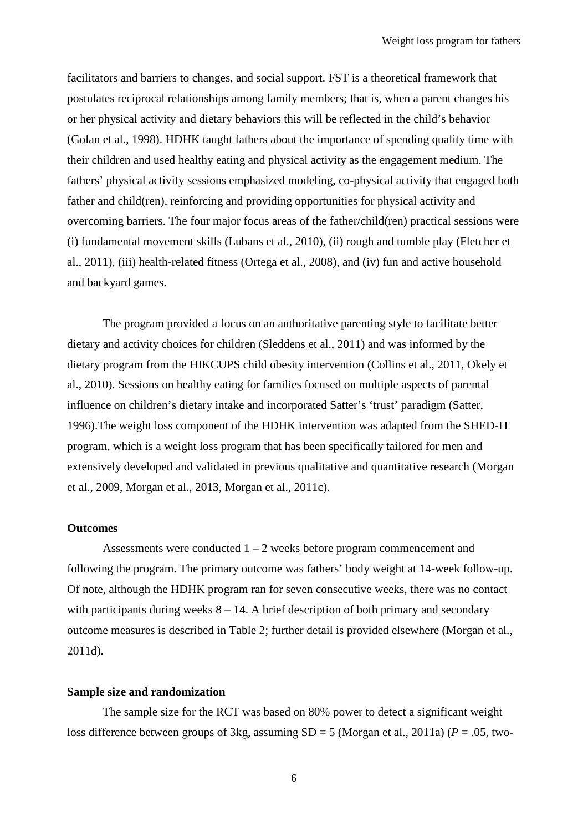facilitators and barriers to changes, and social support. FST is a theoretical framework that postulates reciprocal relationships among family members; that is, when a parent changes his or her physical activity and dietary behaviors this will be reflected in the child's behavior [\(Golan et al., 1998\)](#page-16-8). HDHK taught fathers about the importance of spending quality time with their children and used healthy eating and physical activity as the engagement medium. The fathers' physical activity sessions emphasized modeling, co-physical activity that engaged both father and child(ren), reinforcing and providing opportunities for physical activity and overcoming barriers. The four major focus areas of the father/child(ren) practical sessions were (i) fundamental movement skills [\(Lubans et al., 2010\)](#page-16-9), (ii) rough and tumble play [\(Fletcher et](#page-16-10)  [al., 2011\)](#page-16-10), (iii) health-related fitness [\(Ortega et al., 2008\)](#page-18-7), and (iv) fun and active household and backyard games.

The program provided a focus on an authoritative parenting style to facilitate better dietary and activity choices for children [\(Sleddens et al., 2011\)](#page-18-3) and was informed by the dietary program from the HIKCUPS child obesity intervention [\(Collins et al., 2011,](#page-15-7) [Okely et](#page-18-8)  [al., 2010\)](#page-18-8). Sessions on healthy eating for families focused on multiple aspects of parental influence on children's dietary intake and incorporated Satter's 'trust' paradigm [\(Satter,](#page-18-9)  [1996\)](#page-18-9).The weight loss component of the HDHK intervention was adapted from the SHED-IT program, which is a weight loss program that has been specifically tailored for men and extensively developed and validated in previous qualitative and quantitative research [\(Morgan](#page-17-3)  [et al., 2009,](#page-17-3) [Morgan et al., 2013,](#page-17-4) [Morgan et al., 2011c\)](#page-17-5).

# **Outcomes**

Assessments were conducted  $1 - 2$  weeks before program commencement and following the program. The primary outcome was fathers' body weight at 14-week follow-up. Of note, although the HDHK program ran for seven consecutive weeks, there was no contact with participants during weeks  $8 - 14$ . A brief description of both primary and secondary outcome measures is described in Table 2; further detail is provided elsewhere [\(Morgan et al.,](#page-17-2)  [2011d\)](#page-17-2).

#### **Sample size and randomization**

The sample size for the RCT was based on 80% power to detect a significant weight loss difference between groups of 3kg, assuming SD = 5 [\(Morgan et al., 2011a\)](#page-17-6) (*P* = .05, two-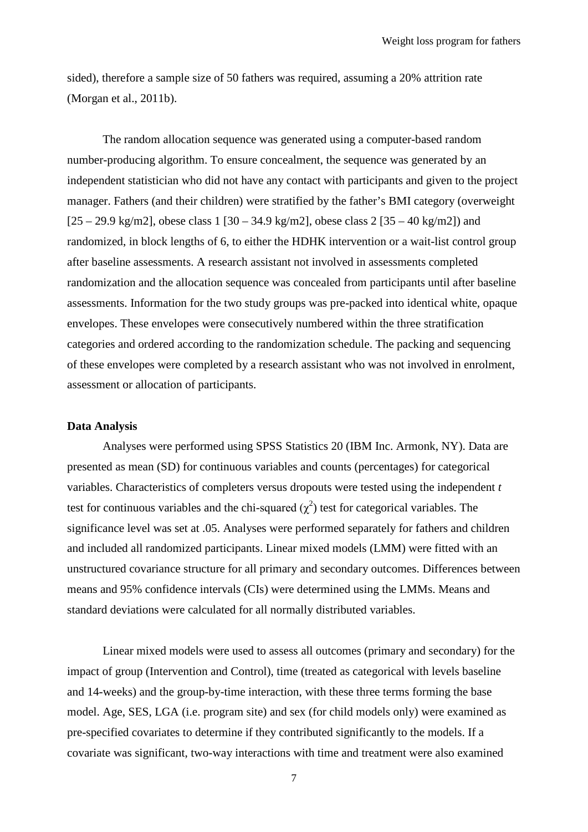sided), therefore a sample size of 50 fathers was required, assuming a 20% attrition rate [\(Morgan et al., 2011b\)](#page-17-1).

The random allocation sequence was generated using a computer-based random number-producing algorithm. To ensure concealment, the sequence was generated by an independent statistician who did not have any contact with participants and given to the project manager. Fathers (and their children) were stratified by the father's BMI category (overweight  $[25 - 29.9 \text{ kg/m2}]$ , obese class 1  $[30 - 34.9 \text{ kg/m2}]$ , obese class 2  $[35 - 40 \text{ kg/m2}]$  and randomized, in block lengths of 6, to either the HDHK intervention or a wait-list control group after baseline assessments. A research assistant not involved in assessments completed randomization and the allocation sequence was concealed from participants until after baseline assessments. Information for the two study groups was pre-packed into identical white, opaque envelopes. These envelopes were consecutively numbered within the three stratification categories and ordered according to the randomization schedule. The packing and sequencing of these envelopes were completed by a research assistant who was not involved in enrolment, assessment or allocation of participants.

#### **Data Analysis**

Analyses were performed using SPSS Statistics 20 (IBM Inc. Armonk, NY). Data are presented as mean (SD) for continuous variables and counts (percentages) for categorical variables. Characteristics of completers versus dropouts were tested using the independent *t* test for continuous variables and the chi-squared  $(\chi^2)$  test for categorical variables. The significance level was set at .05. Analyses were performed separately for fathers and children and included all randomized participants. Linear mixed models (LMM) were fitted with an unstructured covariance structure for all primary and secondary outcomes. Differences between means and 95% confidence intervals (CIs) were determined using the LMMs. Means and standard deviations were calculated for all normally distributed variables.

Linear mixed models were used to assess all outcomes (primary and secondary) for the impact of group (Intervention and Control), time (treated as categorical with levels baseline and 14-weeks) and the group-by-time interaction, with these three terms forming the base model. Age, SES, LGA (i.e. program site) and sex (for child models only) were examined as pre-specified covariates to determine if they contributed significantly to the models. If a covariate was significant, two-way interactions with time and treatment were also examined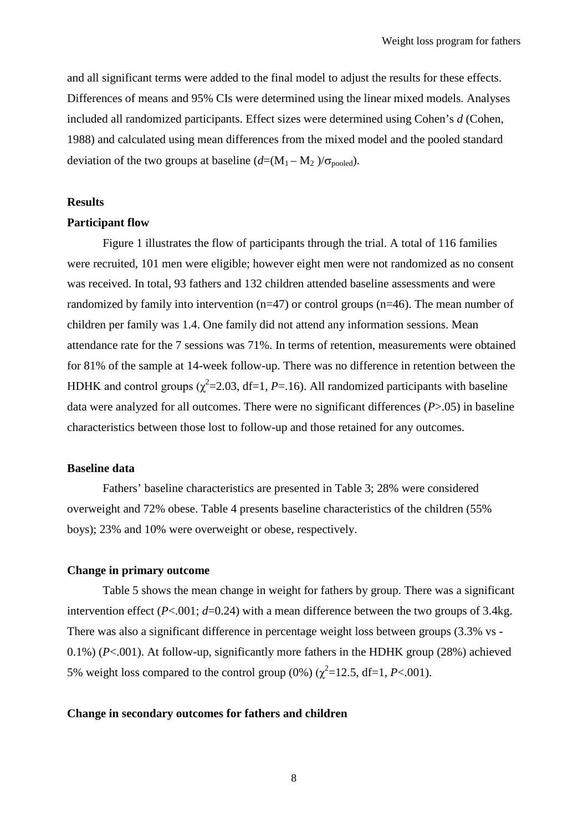and all significant terms were added to the final model to adjust the results for these effects. Differences of means and 95% CIs were determined using the linear mixed models. Analyses included all randomized participants. Effect sizes were determined using Cohen's *d* [\(Cohen,](#page-15-8)  [1988\)](#page-15-8) and calculated using mean differences from the mixed model and the pooled standard deviation of the two groups at baseline  $(d=(M_1 - M_2)/\sigma_{\text{pooled}})$ .

#### **Results**

#### **Participant flow**

Figure 1 illustrates the flow of participants through the trial. A total of 116 families were recruited, 101 men were eligible; however eight men were not randomized as no consent was received. In total, 93 fathers and 132 children attended baseline assessments and were randomized by family into intervention ( $n=47$ ) or control groups ( $n=46$ ). The mean number of children per family was 1.4. One family did not attend any information sessions. Mean attendance rate for the 7 sessions was 71%. In terms of retention, measurements were obtained for 81% of the sample at 14-week follow-up. There was no difference in retention between the HDHK and control groups ( $\chi^2$ =2.03, df=1, *P*=.16). All randomized participants with baseline data were analyzed for all outcomes. There were no significant differences (*P*>.05) in baseline characteristics between those lost to follow-up and those retained for any outcomes.

# **Baseline data**

Fathers' baseline characteristics are presented in Table 3; 28% were considered overweight and 72% obese. Table 4 presents baseline characteristics of the children (55% boys); 23% and 10% were overweight or obese, respectively.

#### **Change in primary outcome**

Table 5 shows the mean change in weight for fathers by group. There was a significant intervention effect  $(P<.001; d=0.24)$  with a mean difference between the two groups of 3.4kg. There was also a significant difference in percentage weight loss between groups (3.3% vs - 0.1%) (*P*<.001). At follow-up, significantly more fathers in the HDHK group (28%) achieved 5% weight loss compared to the control group  $(0\%) (\chi^2=12.5, df=1, P<.001)$ .

#### **Change in secondary outcomes for fathers and children**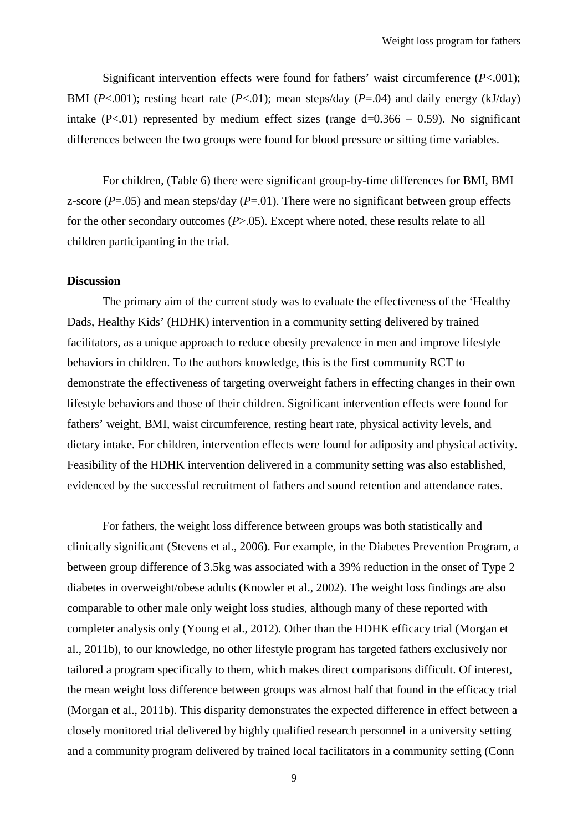Significant intervention effects were found for fathers' waist circumference (*P*<.001); BMI ( $P<.001$ ); resting heart rate ( $P<.01$ ); mean steps/day ( $P=.04$ ) and daily energy (kJ/day) intake  $(P<.01)$  represented by medium effect sizes (range  $d=0.366 - 0.59$ ). No significant differences between the two groups were found for blood pressure or sitting time variables.

For children, (Table 6) there were significant group-by-time differences for BMI, BMI z-score  $(P=0.05)$  and mean steps/day  $(P=0.01)$ . There were no significant between group effects for the other secondary outcomes (*P*>.05). Except where noted, these results relate to all children participanting in the trial.

# **Discussion**

The primary aim of the current study was to evaluate the effectiveness of the 'Healthy Dads, Healthy Kids' (HDHK) intervention in a community setting delivered by trained facilitators, as a unique approach to reduce obesity prevalence in men and improve lifestyle behaviors in children. To the authors knowledge, this is the first community RCT to demonstrate the effectiveness of targeting overweight fathers in effecting changes in their own lifestyle behaviors and those of their children. Significant intervention effects were found for fathers' weight, BMI, waist circumference, resting heart rate, physical activity levels, and dietary intake. For children, intervention effects were found for adiposity and physical activity. Feasibility of the HDHK intervention delivered in a community setting was also established, evidenced by the successful recruitment of fathers and sound retention and attendance rates.

For fathers, the weight loss difference between groups was both statistically and clinically significant [\(Stevens et al., 2006\)](#page-18-10). For example, in the Diabetes Prevention Program, a between group difference of 3.5kg was associated with a 39% reduction in the onset of Type 2 diabetes in overweight/obese adults [\(Knowler et al., 2002\)](#page-16-11). The weight loss findings are also comparable to other male only weight loss studies, although many of these reported with completer analysis only [\(Young et al., 2012\)](#page-19-2). Other than the HDHK efficacy trial [\(Morgan et](#page-17-1)  [al., 2011b\)](#page-17-1), to our knowledge, no other lifestyle program has targeted fathers exclusively nor tailored a program specifically to them, which makes direct comparisons difficult. Of interest, the mean weight loss difference between groups was almost half that found in the efficacy trial [\(Morgan et al., 2011b\)](#page-17-1). This disparity demonstrates the expected difference in effect between a closely monitored trial delivered by highly qualified research personnel in a university setting and a community program delivered by trained local facilitators in a community setting [\(Conn](#page-15-9)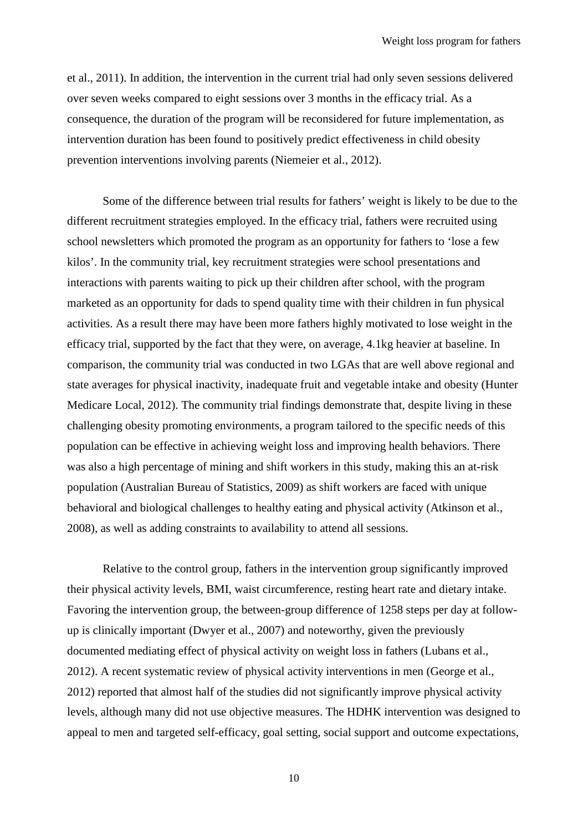[et al., 2011\)](#page-15-9). In addition, the intervention in the current trial had only seven sessions delivered over seven weeks compared to eight sessions over 3 months in the efficacy trial. As a consequence, the duration of the program will be reconsidered for future implementation, as intervention duration has been found to positively predict effectiveness in child obesity prevention interventions involving parents [\(Niemeier et al., 2012\)](#page-18-11).

Some of the difference between trial results for fathers' weight is likely to be due to the different recruitment strategies employed. In the efficacy trial, fathers were recruited using school newsletters which promoted the program as an opportunity for fathers to 'lose a few kilos'. In the community trial, key recruitment strategies were school presentations and interactions with parents waiting to pick up their children after school, with the program marketed as an opportunity for dads to spend quality time with their children in fun physical activities. As a result there may have been more fathers highly motivated to lose weight in the efficacy trial, supported by the fact that they were, on average, 4.1kg heavier at baseline. In comparison, the community trial was conducted in two LGAs that are well above regional and state averages for physical inactivity, inadequate fruit and vegetable intake and obesity [\(Hunter](#page-16-12)  [Medicare Local, 2012\)](#page-16-12). The community trial findings demonstrate that, despite living in these challenging obesity promoting environments, a program tailored to the specific needs of this population can be effective in achieving weight loss and improving health behaviors. There was also a high percentage of mining and shift workers in this study, making this an at-risk population [\(Australian Bureau of Statistics, 2009\)](#page-15-4) as shift workers are faced with unique behavioral and biological challenges to healthy eating and physical activity [\(Atkinson et al.,](#page-15-5)  [2008\)](#page-15-5), as well as adding constraints to availability to attend all sessions.

Relative to the control group, fathers in the intervention group significantly improved their physical activity levels, BMI, waist circumference, resting heart rate and dietary intake. Favoring the intervention group, the between-group difference of 1258 steps per day at followup is clinically important [\(Dwyer et al., 2007\)](#page-15-10) and noteworthy, given the previously documented mediating effect of physical activity on weight loss in fathers [\(Lubans et al.,](#page-17-7)  [2012\)](#page-17-7). A recent systematic review of physical activity interventions in men [\(George et al.,](#page-16-13)  [2012\)](#page-16-13) reported that almost half of the studies did not significantly improve physical activity levels, although many did not use objective measures. The HDHK intervention was designed to appeal to men and targeted self-efficacy, goal setting, social support and outcome expectations,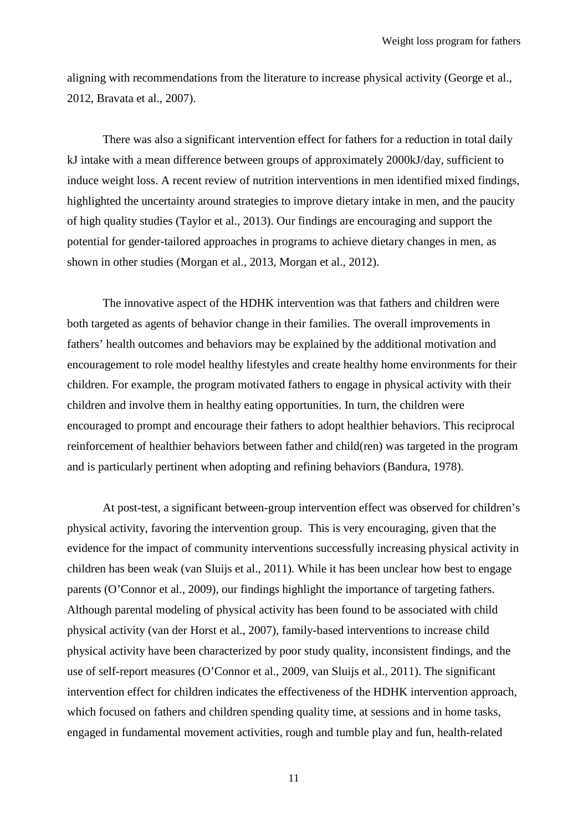aligning with recommendations from the literature to increase physical activity [\(George et al.,](#page-16-13)  [2012,](#page-16-13) [Bravata et al., 2007\)](#page-15-11).

There was also a significant intervention effect for fathers for a reduction in total daily kJ intake with a mean difference between groups of approximately 2000kJ/day, sufficient to induce weight loss. A recent review of nutrition interventions in men identified mixed findings, highlighted the uncertainty around strategies to improve dietary intake in men, and the paucity of high quality studies [\(Taylor et al., 2013\)](#page-18-12). Our findings are encouraging and support the potential for gender-tailored approaches in programs to achieve dietary changes in men, as shown in other studies [\(Morgan et al., 2013,](#page-17-4) [Morgan et al., 2012\)](#page-17-8).

The innovative aspect of the HDHK intervention was that fathers and children were both targeted as agents of behavior change in their families. The overall improvements in fathers' health outcomes and behaviors may be explained by the additional motivation and encouragement to role model healthy lifestyles and create healthy home environments for their children. For example, the program motivated fathers to engage in physical activity with their children and involve them in healthy eating opportunities. In turn, the children were encouraged to prompt and encourage their fathers to adopt healthier behaviors. This reciprocal reinforcement of healthier behaviors between father and child(ren) was targeted in the program and is particularly pertinent when adopting and refining behaviors [\(Bandura, 1978\)](#page-15-12).

At post-test, a significant between-group intervention effect was observed for children's physical activity, favoring the intervention group. This is very encouraging, given that the evidence for the impact of community interventions successfully increasing physical activity in children has been weak [\(van Sluijs et al., 2011\)](#page-19-3). While it has been unclear how best to engage parents [\(O'Connor et al., 2009\)](#page-18-2), our findings highlight the importance of targeting fathers. Although parental modeling of physical activity has been found to be associated with child physical activity [\(van der Horst et al., 2007\)](#page-19-4), family-based interventions to increase child physical activity have been characterized by poor study quality, inconsistent findings, and the use of self-report measures [\(O'Connor et al., 2009,](#page-18-2) [van Sluijs et al., 2011\)](#page-19-3). The significant intervention effect for children indicates the effectiveness of the HDHK intervention approach, which focused on fathers and children spending quality time, at sessions and in home tasks, engaged in fundamental movement activities, rough and tumble play and fun, health-related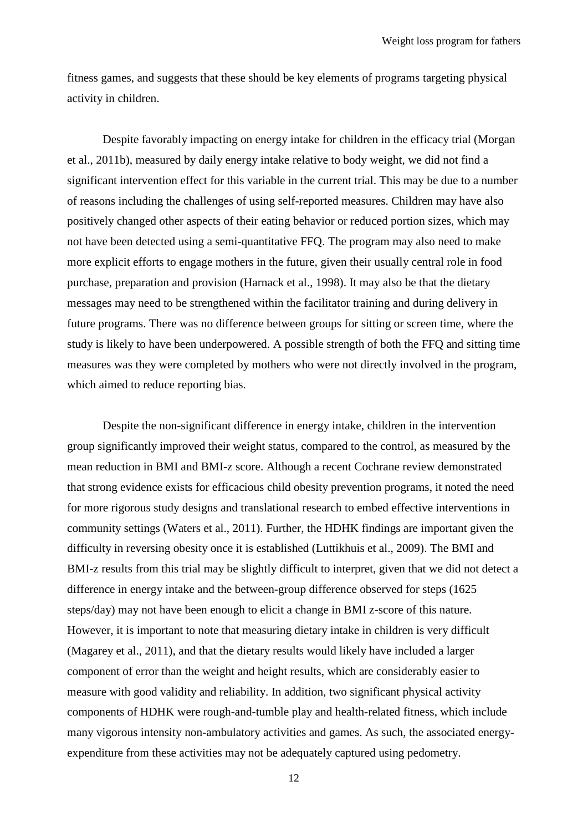fitness games, and suggests that these should be key elements of programs targeting physical activity in children.

Despite favorably impacting on energy intake for children in the efficacy trial [\(Morgan](#page-17-1)  [et al., 2011b\)](#page-17-1), measured by daily energy intake relative to body weight, we did not find a significant intervention effect for this variable in the current trial. This may be due to a number of reasons including the challenges of using self-reported measures. Children may have also positively changed other aspects of their eating behavior or reduced portion sizes, which may not have been detected using a semi-quantitative FFQ. The program may also need to make more explicit efforts to engage mothers in the future, given their usually central role in food purchase, preparation and provision [\(Harnack et al., 1998\)](#page-16-14). It may also be that the dietary messages may need to be strengthened within the facilitator training and during delivery in future programs. There was no difference between groups for sitting or screen time, where the study is likely to have been underpowered. A possible strength of both the FFQ and sitting time measures was they were completed by mothers who were not directly involved in the program, which aimed to reduce reporting bias.

Despite the non-significant difference in energy intake, children in the intervention group significantly improved their weight status, compared to the control, as measured by the mean reduction in BMI and BMI-z score. Although a recent Cochrane review demonstrated that strong evidence exists for efficacious child obesity prevention programs, it noted the need for more rigorous study designs and translational research to embed effective interventions in community settings [\(Waters et al., 2011\)](#page-19-1). Further, the HDHK findings are important given the difficulty in reversing obesity once it is established [\(Luttikhuis et al., 2009\)](#page-17-9). The BMI and BMI-z results from this trial may be slightly difficult to interpret, given that we did not detect a difference in energy intake and the between-group difference observed for steps (1625 steps/day) may not have been enough to elicit a change in BMI z-score of this nature. However, it is important to note that measuring dietary intake in children is very difficult [\(Magarey et al., 2011\)](#page-17-10), and that the dietary results would likely have included a larger component of error than the weight and height results, which are considerably easier to measure with good validity and reliability. In addition, two significant physical activity components of HDHK were rough-and-tumble play and health-related fitness, which include many vigorous intensity non-ambulatory activities and games. As such, the associated energyexpenditure from these activities may not be adequately captured using pedometry.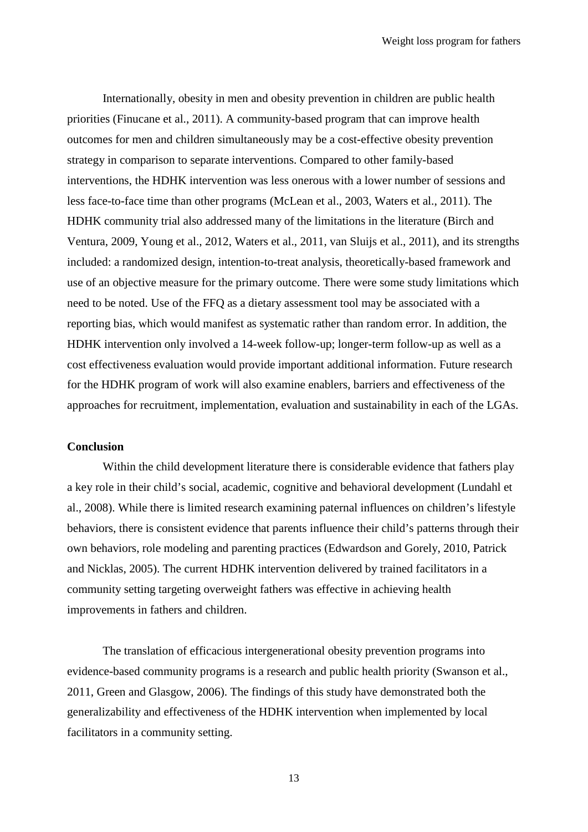Internationally, obesity in men and obesity prevention in children are public health priorities [\(Finucane et al., 2011\)](#page-16-0). A community-based program that can improve health outcomes for men and children simultaneously may be a cost-effective obesity prevention strategy in comparison to separate interventions. Compared to other family-based interventions, the HDHK intervention was less onerous with a lower number of sessions and less face-to-face time than other programs [\(McLean et al., 2003,](#page-17-11) [Waters et al., 2011\)](#page-19-1). The HDHK community trial also addressed many of the limitations in the literature [\(Birch and](#page-15-13)  [Ventura, 2009,](#page-15-13) [Young et al., 2012,](#page-19-2) [Waters et al., 2011,](#page-19-1) [van Sluijs et](#page-19-3) al., 2011), and its strengths included: a randomized design, intention-to-treat analysis, theoretically-based framework and use of an objective measure for the primary outcome. There were some study limitations which need to be noted. Use of the FFQ as a dietary assessment tool may be associated with a reporting bias, which would manifest as systematic rather than random error. In addition, the HDHK intervention only involved a 14-week follow-up; longer-term follow-up as well as a cost effectiveness evaluation would provide important additional information. Future research for the HDHK program of work will also examine enablers, barriers and effectiveness of the approaches for recruitment, implementation, evaluation and sustainability in each of the LGAs.

#### **Conclusion**

Within the child development literature there is considerable evidence that fathers play a key role in their child's social, academic, cognitive and behavioral development [\(Lundahl et](#page-17-12)  [al., 2008\)](#page-17-12). While there is limited research examining paternal influences on children's lifestyle behaviors, there is consistent evidence that parents influence their child's patterns through their own behaviors, role modeling and parenting practices [\(Edwardson and Gorely, 2010,](#page-16-15) [Patrick](#page-18-13)  [and Nicklas, 2005\)](#page-18-13). The current HDHK intervention delivered by trained facilitators in a community setting targeting overweight fathers was effective in achieving health improvements in fathers and children.

The translation of efficacious intergenerational obesity prevention programs into evidence-based community programs is a research and public health priority [\(Swanson et al.,](#page-18-14)  [2011,](#page-18-14) [Green and Glasgow, 2006\)](#page-16-6). The findings of this study have demonstrated both the generalizability and effectiveness of the HDHK intervention when implemented by local facilitators in a community setting.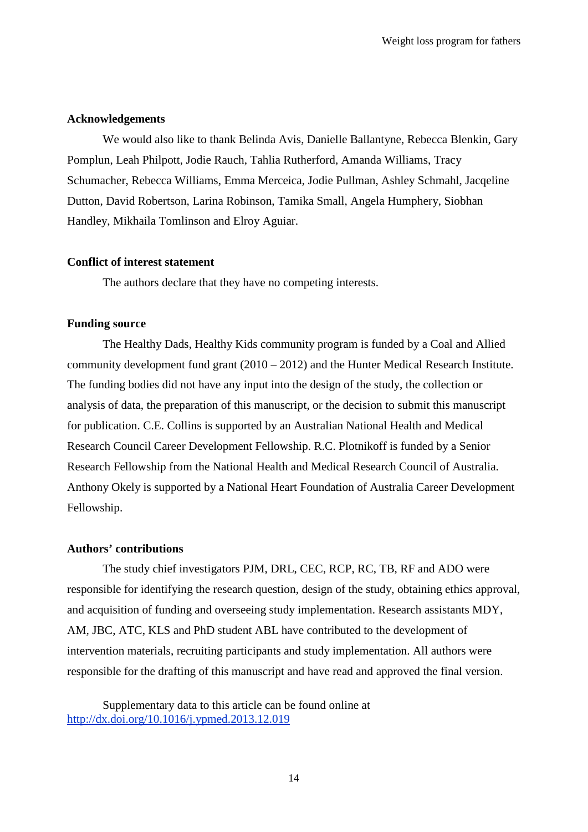#### **Acknowledgements**

We would also like to thank Belinda Avis, Danielle Ballantyne, Rebecca Blenkin, Gary Pomplun, Leah Philpott, Jodie Rauch, Tahlia Rutherford, Amanda Williams, Tracy Schumacher, Rebecca Williams, Emma Merceica, Jodie Pullman, Ashley Schmahl, Jacqeline Dutton, David Robertson, Larina Robinson, Tamika Small, Angela Humphery, Siobhan Handley, Mikhaila Tomlinson and Elroy Aguiar.

# **Conflict of interest statement**

The authors declare that they have no competing interests.

# **Funding source**

The Healthy Dads, Healthy Kids community program is funded by a Coal and Allied community development fund grant (2010 – 2012) and the Hunter Medical Research Institute. The funding bodies did not have any input into the design of the study, the collection or analysis of data, the preparation of this manuscript, or the decision to submit this manuscript for publication. C.E. Collins is supported by an Australian National Health and Medical Research Council Career Development Fellowship. R.C. Plotnikoff is funded by a Senior Research Fellowship from the National Health and Medical Research Council of Australia. Anthony Okely is supported by a National Heart Foundation of Australia Career Development Fellowship.

#### **Authors' contributions**

The study chief investigators PJM, DRL, CEC, RCP, RC, TB, RF and ADO were responsible for identifying the research question, design of the study, obtaining ethics approval, and acquisition of funding and overseeing study implementation. Research assistants MDY, AM, JBC, ATC, KLS and PhD student ABL have contributed to the development of intervention materials, recruiting participants and study implementation. All authors were responsible for the drafting of this manuscript and have read and approved the final version.

Supplementary data to this article can be found online at <http://dx.doi.org/10.1016/j.ypmed.2013.12.019>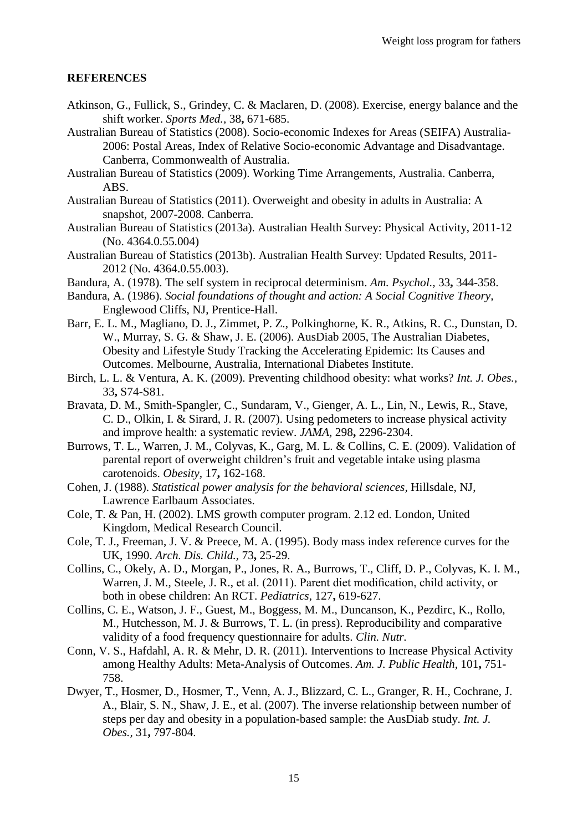# **REFERENCES**

- <span id="page-15-5"></span>Atkinson, G., Fullick, S., Grindey, C. & Maclaren, D. (2008). Exercise, energy balance and the shift worker. *Sports Med.,* 38**,** 671-685.
- <span id="page-15-18"></span>Australian Bureau of Statistics (2008). Socio-economic Indexes for Areas (SEIFA) Australia-2006: Postal Areas, Index of Relative Socio-economic Advantage and Disadvantage. Canberra, Commonwealth of Australia.
- <span id="page-15-4"></span>Australian Bureau of Statistics (2009). Working Time Arrangements, Australia. Canberra, ABS.
- <span id="page-15-1"></span>Australian Bureau of Statistics (2011). Overweight and obesity in adults in Australia: A snapshot, 2007-2008. Canberra.
- <span id="page-15-3"></span>Australian Bureau of Statistics (2013a). Australian Health Survey: Physical Activity, 2011-12 (No. 4364.0.55.004)
- <span id="page-15-2"></span>Australian Bureau of Statistics (2013b). Australian Health Survey: Updated Results, 2011- 2012 (No. 4364.0.55.003).
- <span id="page-15-12"></span>Bandura, A. (1978). The self system in reciprocal determinism. *Am. Psychol.,* 33**,** 344-358.
- <span id="page-15-6"></span>Bandura, A. (1986). *Social foundations of thought and action: A Social Cognitive Theory,*  Englewood Cliffs, NJ, Prentice-Hall.
- <span id="page-15-0"></span>Barr, E. L. M., Magliano, D. J., Zimmet, P. Z., Polkinghorne, K. R., Atkins, R. C., Dunstan, D. W., Murray, S. G. & Shaw, J. E. (2006). AusDiab 2005, The Australian Diabetes, Obesity and Lifestyle Study Tracking the Accelerating Epidemic: Its Causes and Outcomes. Melbourne, Australia, International Diabetes Institute.
- <span id="page-15-13"></span>Birch, L. L. & Ventura, A. K. (2009). Preventing childhood obesity: what works? *Int. J. Obes.,* 33**,** S74-S81.
- <span id="page-15-11"></span>Bravata, D. M., Smith-Spangler, C., Sundaram, V., Gienger, A. L., Lin, N., Lewis, R., Stave, C. D., Olkin, I. & Sirard, J. R. (2007). Using pedometers to increase physical activity and improve health: a systematic review. *JAMA,* 298**,** 2296-2304.
- <span id="page-15-17"></span>Burrows, T. L., Warren, J. M., Colyvas, K., Garg, M. L. & Collins, C. E. (2009). Validation of parental report of overweight children's fruit and vegetable intake using plasma carotenoids. *Obesity,* 17**,** 162-168.
- <span id="page-15-8"></span>Cohen, J. (1988). *Statistical power analysis for the behavioral sciences,* Hillsdale, NJ, Lawrence Earlbaum Associates.
- <span id="page-15-15"></span>Cole, T. & Pan, H. (2002). LMS growth computer program. 2.12 ed. London, United Kingdom, Medical Research Council.
- <span id="page-15-14"></span>Cole, T. J., Freeman, J. V. & Preece, M. A. (1995). Body mass index reference curves for the UK, 1990. *Arch. Dis. Child.,* 73**,** 25-29.
- <span id="page-15-7"></span>Collins, C., Okely, A. D., Morgan, P., Jones, R. A., Burrows, T., Cliff, D. P., Colyvas, K. I. M., Warren, J. M., Steele, J. R., et al. (2011). Parent diet modification, child activity, or both in obese children: An RCT. *Pediatrics,* 127**,** 619-627.
- <span id="page-15-16"></span>Collins, C. E., Watson, J. F., Guest, M., Boggess, M. M., Duncanson, K., Pezdirc, K., Rollo, M., Hutchesson, M. J. & Burrows, T. L. (in press). Reproducibility and comparative validity of a food frequency questionnaire for adults. *Clin. Nutr.*
- <span id="page-15-9"></span>Conn, V. S., Hafdahl, A. R. & Mehr, D. R. (2011). Interventions to Increase Physical Activity among Healthy Adults: Meta-Analysis of Outcomes. *Am. J. Public Health,* 101**,** 751- 758.
- <span id="page-15-10"></span>Dwyer, T., Hosmer, D., Hosmer, T., Venn, A. J., Blizzard, C. L., Granger, R. H., Cochrane, J. A., Blair, S. N., Shaw, J. E., et al. (2007). The inverse relationship between number of steps per day and obesity in a population-based sample: the AusDiab study. *Int. J. Obes.,* 31**,** 797-804.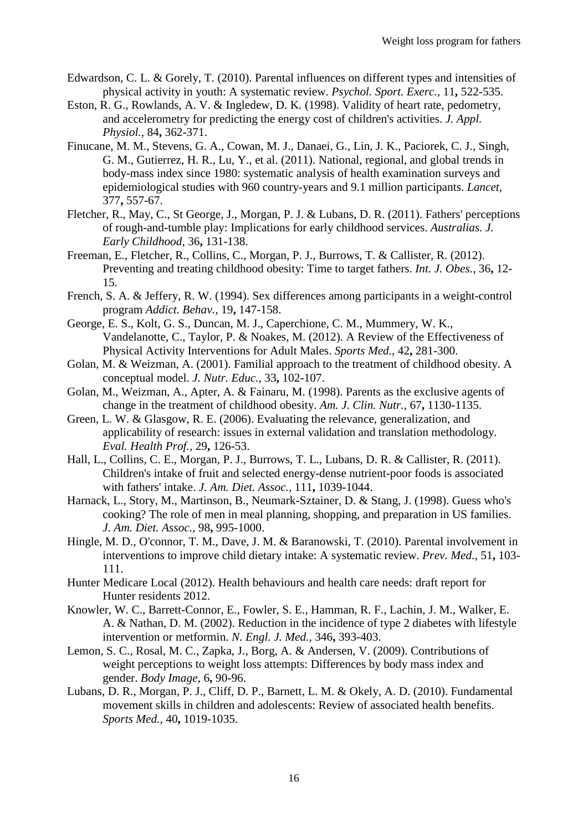- <span id="page-16-15"></span>Edwardson, C. L. & Gorely, T. (2010). Parental influences on different types and intensities of physical activity in youth: A systematic review. *Psychol. Sport. Exerc.,* 11**,** 522-535.
- <span id="page-16-16"></span>Eston, R. G., Rowlands, A. V. & Ingledew, D. K. (1998). Validity of heart rate, pedometry, and accelerometry for predicting the energy cost of children's activities. *J. Appl. Physiol.,* 84**,** 362-371.
- <span id="page-16-0"></span>Finucane, M. M., Stevens, G. A., Cowan, M. J., Danaei, G., Lin, J. K., Paciorek, C. J., Singh, G. M., Gutierrez, H. R., Lu, Y., et al. (2011). National, regional, and global trends in body-mass index since 1980: systematic analysis of health examination surveys and epidemiological studies with 960 country-years and 9.1 million participants. *Lancet,* 377**,** 557-67.
- <span id="page-16-10"></span>Fletcher, R., May, C., St George, J., Morgan, P. J. & Lubans, D. R. (2011). Fathers' perceptions of rough-and-tumble play: Implications for early childhood services. *Australias. J. Early Childhood,* 36**,** 131-138.
- <span id="page-16-4"></span>Freeman, E., Fletcher, R., Collins, C., Morgan, P. J., Burrows, T. & Callister, R. (2012). Preventing and treating childhood obesity: Time to target fathers. *Int. J. Obes.,* 36**,** 12- 15.
- <span id="page-16-2"></span>French, S. A. & Jeffery, R. W. (1994). Sex differences among participants in a weight-control program *Addict. Behav.,* 19**,** 147-158.
- <span id="page-16-13"></span>George, E. S., Kolt, G. S., Duncan, M. J., Caperchione, C. M., Mummery, W. K., Vandelanotte, C., Taylor, P. & Noakes, M. (2012). A Review of the Effectiveness of Physical Activity Interventions for Adult Males. *Sports Med.,* 42**,** 281-300.
- <span id="page-16-7"></span>Golan, M. & Weizman, A. (2001). Familial approach to the treatment of childhood obesity. A conceptual model. *J. Nutr. Educ.,* 33**,** 102-107.
- <span id="page-16-8"></span>Golan, M., Weizman, A., Apter, A. & Fainaru, M. (1998). Parents as the exclusive agents of change in the treatment of childhood obesity. *Am. J. Clin. Nutr.,* 67**,** 1130-1135.
- <span id="page-16-6"></span>Green, L. W. & Glasgow, R. E. (2006). Evaluating the relevance, generalization, and applicability of research: issues in external validation and translation methodology. *Eval. Health Prof.,* 29**,** 126-53.
- <span id="page-16-3"></span>Hall, L., Collins, C. E., Morgan, P. J., Burrows, T. L., Lubans, D. R. & Callister, R. (2011). Children's intake of fruit and selected energy-dense nutrient-poor foods is associated with fathers' intake. *J. Am. Diet. Assoc.,* 111**,** 1039-1044.
- <span id="page-16-14"></span>Harnack, L., Story, M., Martinson, B., Neumark-Sztainer, D. & Stang, J. (1998). Guess who's cooking? The role of men in meal planning, shopping, and preparation in US families. *J. Am. Diet. Assoc.,* 98**,** 995-1000.
- <span id="page-16-5"></span>Hingle, M. D., O'connor, T. M., Dave, J. M. & Baranowski, T. (2010). Parental involvement in interventions to improve child dietary intake: A systematic review. *Prev. Med.,* 51**,** 103- 111.
- <span id="page-16-12"></span>Hunter Medicare Local (2012). Health behaviours and health care needs: draft report for Hunter residents 2012.
- <span id="page-16-11"></span>Knowler, W. C., Barrett-Connor, E., Fowler, S. E., Hamman, R. F., Lachin, J. M., Walker, E. A. & Nathan, D. M. (2002). Reduction in the incidence of type 2 diabetes with lifestyle intervention or metformin. *N. Engl. J. Med.,* 346**,** 393-403.
- <span id="page-16-1"></span>Lemon, S. C., Rosal, M. C., Zapka, J., Borg, A. & Andersen, V. (2009). Contributions of weight perceptions to weight loss attempts: Differences by body mass index and gender. *Body Image,* 6**,** 90-96.
- <span id="page-16-9"></span>Lubans, D. R., Morgan, P. J., Cliff, D. P., Barnett, L. M. & Okely, A. D. (2010). Fundamental movement skills in children and adolescents: Review of associated health benefits. *Sports Med.,* 40**,** 1019-1035.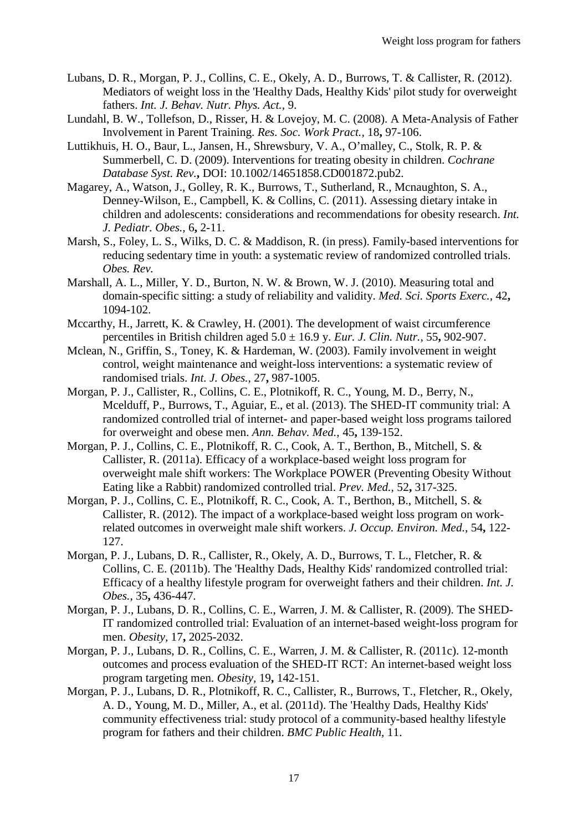- <span id="page-17-7"></span>Lubans, D. R., Morgan, P. J., Collins, C. E., Okely, A. D., Burrows, T. & Callister, R. (2012). Mediators of weight loss in the 'Healthy Dads, Healthy Kids' pilot study for overweight fathers. *Int. J. Behav. Nutr. Phys. Act.,* 9.
- <span id="page-17-12"></span>Lundahl, B. W., Tollefson, D., Risser, H. & Lovejoy, M. C. (2008). A Meta-Analysis of Father Involvement in Parent Training. *Res. Soc. Work Pract.,* 18**,** 97-106.
- <span id="page-17-9"></span>Luttikhuis, H. O., Baur, L., Jansen, H., Shrewsbury, V. A., O'malley, C., Stolk, R. P. & Summerbell, C. D. (2009). Interventions for treating obesity in children. *Cochrane Database Syst. Rev.***,** DOI: 10.1002/14651858.CD001872.pub2.
- <span id="page-17-10"></span>Magarey, A., Watson, J., Golley, R. K., Burrows, T., Sutherland, R., Mcnaughton, S. A., Denney-Wilson, E., Campbell, K. & Collins, C. (2011). Assessing dietary intake in children and adolescents: considerations and recommendations for obesity research. *Int. J. Pediatr. Obes.,* 6**,** 2-11.
- <span id="page-17-0"></span>Marsh, S., Foley, L. S., Wilks, D. C. & Maddison, R. (in press). Family-based interventions for reducing sedentary time in youth: a systematic review of randomized controlled trials. *Obes. Rev.*
- <span id="page-17-14"></span>Marshall, A. L., Miller, Y. D., Burton, N. W. & Brown, W. J. (2010). Measuring total and domain-specific sitting: a study of reliability and validity. *Med. Sci. Sports Exerc.,* 42**,** 1094-102.
- <span id="page-17-13"></span>Mccarthy, H., Jarrett, K. & Crawley, H. (2001). The development of waist circumference percentiles in British children aged 5.0 ± 16.9 y. *Eur. J. Clin. Nutr.,* 55**,** 902-907.
- <span id="page-17-11"></span>Mclean, N., Griffin, S., Toney, K. & Hardeman, W. (2003). Family involvement in weight control, weight maintenance and weight-loss interventions: a systematic review of randomised trials. *Int. J. Obes.,* 27**,** 987-1005.
- <span id="page-17-4"></span>Morgan, P. J., Callister, R., Collins, C. E., Plotnikoff, R. C., Young, M. D., Berry, N., Mcelduff, P., Burrows, T., Aguiar, E., et al. (2013). The SHED-IT community trial: A randomized controlled trial of internet- and paper-based weight loss programs tailored for overweight and obese men. *Ann. Behav. Med.,* 45**,** 139-152.
- <span id="page-17-6"></span>Morgan, P. J., Collins, C. E., Plotnikoff, R. C., Cook, A. T., Berthon, B., Mitchell, S. & Callister, R. (2011a). Efficacy of a workplace-based weight loss program for overweight male shift workers: The Workplace POWER (Preventing Obesity Without Eating like a Rabbit) randomized controlled trial. *Prev. Med.,* 52**,** 317-325.
- <span id="page-17-8"></span>Morgan, P. J., Collins, C. E., Plotnikoff, R. C., Cook, A. T., Berthon, B., Mitchell, S. & Callister, R. (2012). The impact of a workplace-based weight loss program on workrelated outcomes in overweight male shift workers. *J. Occup. Environ. Med.,* 54**,** 122- 127.
- <span id="page-17-1"></span>Morgan, P. J., Lubans, D. R., Callister, R., Okely, A. D., Burrows, T. L., Fletcher, R. & Collins, C. E. (2011b). The 'Healthy Dads, Healthy Kids' randomized controlled trial: Efficacy of a healthy lifestyle program for overweight fathers and their children. *Int. J. Obes.,* 35**,** 436-447.
- <span id="page-17-3"></span>Morgan, P. J., Lubans, D. R., Collins, C. E., Warren, J. M. & Callister, R. (2009). The SHED-IT randomized controlled trial: Evaluation of an internet-based weight-loss program for men. *Obesity,* 17**,** 2025-2032.
- <span id="page-17-5"></span>Morgan, P. J., Lubans, D. R., Collins, C. E., Warren, J. M. & Callister, R. (2011c). 12-month outcomes and process evaluation of the SHED-IT RCT: An internet-based weight loss program targeting men. *Obesity,* 19**,** 142-151.
- <span id="page-17-2"></span>Morgan, P. J., Lubans, D. R., Plotnikoff, R. C., Callister, R., Burrows, T., Fletcher, R., Okely, A. D., Young, M. D., Miller, A., et al. (2011d). The 'Healthy Dads, Healthy Kids' community effectiveness trial: study protocol of a community-based healthy lifestyle program for fathers and their children. *BMC Public Health,* 11.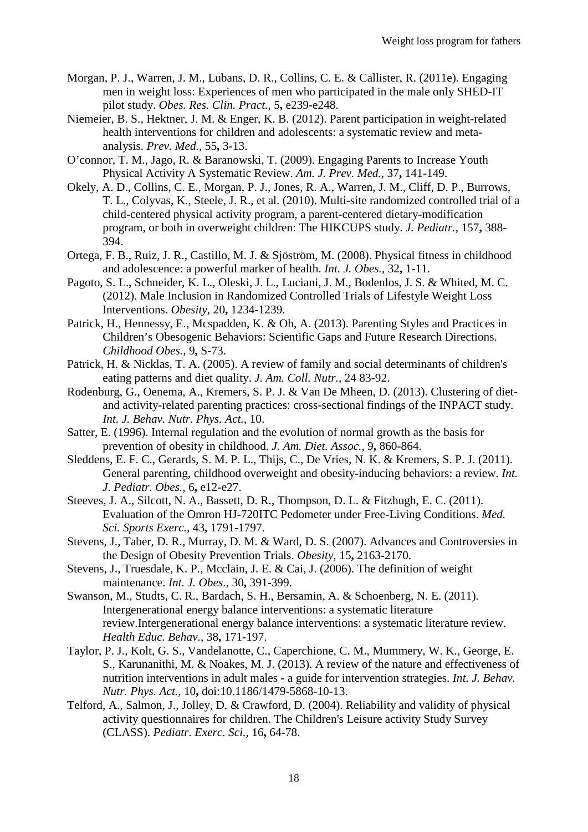- <span id="page-18-0"></span>Morgan, P. J., Warren, J. M., Lubans, D. R., Collins, C. E. & Callister, R. (2011e). Engaging men in weight loss: Experiences of men who participated in the male only SHED-IT pilot study. *Obes. Res. Clin. Pract.,* 5**,** e239-e248.
- <span id="page-18-11"></span>Niemeier, B. S., Hektner, J. M. & Enger, K. B. (2012). Parent participation in weight-related health interventions for children and adolescents: a systematic review and metaanalysis. *Prev. Med.,* 55**,** 3-13.
- <span id="page-18-2"></span>O'connor, T. M., Jago, R. & Baranowski, T. (2009). Engaging Parents to Increase Youth Physical Activity A Systematic Review. *Am. J. Prev. Med.,* 37**,** 141-149.
- <span id="page-18-8"></span>Okely, A. D., Collins, C. E., Morgan, P. J., Jones, R. A., Warren, J. M., Cliff, D. P., Burrows, T. L., Colyvas, K., Steele, J. R., et al. (2010). Multi-site randomized controlled trial of a child-centered physical activity program, a parent-centered dietary-modification program, or both in overweight children: The HIKCUPS study. *J. Pediatr.,* 157**,** 388- 394.
- <span id="page-18-7"></span>Ortega, F. B., Ruiz, J. R., Castillo, M. J. & Sjöström, M. (2008). Physical fitness in childhood and adolescence: a powerful marker of health. *Int. J. Obes.,* 32**,** 1-11.
- <span id="page-18-1"></span>Pagoto, S. L., Schneider, K. L., Oleski, J. L., Luciani, J. M., Bodenlos, J. S. & Whited, M. C. (2012). Male Inclusion in Randomized Controlled Trials of Lifestyle Weight Loss Interventions. *Obesity,* 20**,** 1234-1239.
- <span id="page-18-5"></span>Patrick, H., Hennessy, E., Mcspadden, K. & Oh, A. (2013). Parenting Styles and Practices in Children's Obesogenic Behaviors: Scientific Gaps and Future Research Directions. *Childhood Obes.,* 9**,** S-73.
- <span id="page-18-13"></span>Patrick, H. & Nicklas, T. A. (2005). A review of family and social determinants of children's eating patterns and diet quality. *J. Am. Coll. Nutr.,* 24 83-92.
- <span id="page-18-4"></span>Rodenburg, G., Oenema, A., Kremers, S. P. J. & Van De Mheen, D. (2013). Clustering of dietand activity-related parenting practices: cross-sectional findings of the INPACT study. *Int. J. Behav. Nutr. Phys. Act.,* 10.
- <span id="page-18-9"></span>Satter, E. (1996). Internal regulation and the evolution of normal growth as the basis for prevention of obesity in childhood. *J. Am. Diet. Assoc.,* 9**,** 860-864.
- <span id="page-18-3"></span>Sleddens, E. F. C., Gerards, S. M. P. L., Thijs, C., De Vries, N. K. & Kremers, S. P. J. (2011). General parenting, childhood overweight and obesity-inducing behaviors: a review. *Int. J. Pediatr. Obes.,* 6**,** e12-e27.
- <span id="page-18-15"></span>Steeves, J. A., Silcott, N. A., Bassett, D. R., Thompson, D. L. & Fitzhugh, E. C. (2011). Evaluation of the Omron HJ-720ITC Pedometer under Free-Living Conditions. *Med. Sci. Sports Exerc.,* 43**,** 1791-1797.
- <span id="page-18-6"></span>Stevens, J., Taber, D. R., Murray, D. M. & Ward, D. S. (2007). Advances and Controversies in the Design of Obesity Prevention Trials. *Obesity,* 15**,** 2163-2170.
- <span id="page-18-10"></span>Stevens, J., Truesdale, K. P., Mcclain, J. E. & Cai, J. (2006). The definition of weight maintenance. *Int. J. Obes.,* 30**,** 391-399.
- <span id="page-18-14"></span>Swanson, M., Studts, C. R., Bardach, S. H., Bersamin, A. & Schoenberg, N. E. (2011). Intergenerational energy balance interventions: a systematic literature review.Intergenerational energy balance interventions: a systematic literature review. *Health Educ. Behav.,* 38**,** 171-197.
- <span id="page-18-12"></span>Taylor, P. J., Kolt, G. S., Vandelanotte, C., Caperchione, C. M., Mummery, W. K., George, E. S., Karunanithi, M. & Noakes, M. J. (2013). A review of the nature and effectiveness of nutrition interventions in adult males - a guide for intervention strategies. *Int. J. Behav. Nutr. Phys. Act.,* 10**,** doi:10.1186/1479-5868-10-13.
- <span id="page-18-16"></span>Telford, A., Salmon, J., Jolley, D. & Crawford, D. (2004). Reliability and validity of physical activity questionnaires for children. The Children's Leisure activity Study Survey (CLASS). *Pediatr. Exerc. Sci.,* 16**,** 64-78.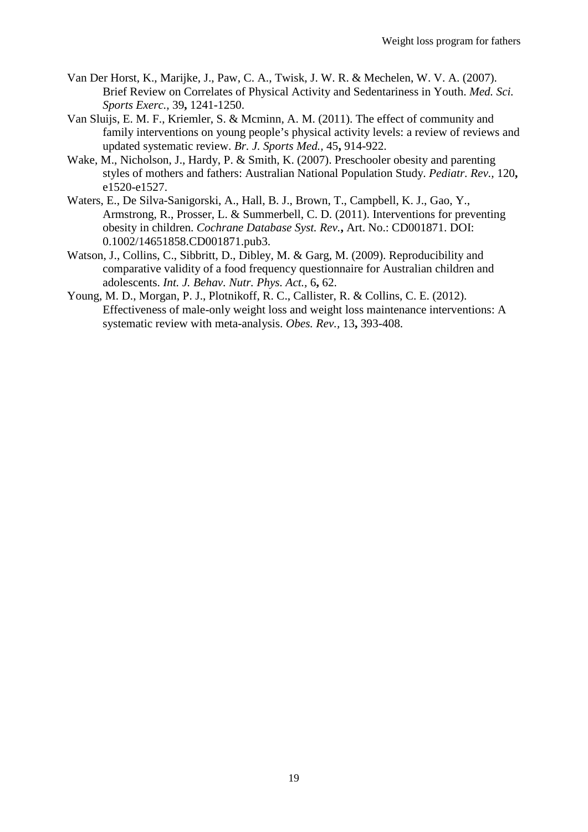- <span id="page-19-4"></span>Van Der Horst, K., Marijke, J., Paw, C. A., Twisk, J. W. R. & Mechelen, W. V. A. (2007). Brief Review on Correlates of Physical Activity and Sedentariness in Youth. *Med. Sci. Sports Exerc.,* 39**,** 1241-1250.
- <span id="page-19-3"></span>Van Sluijs, E. M. F., Kriemler, S. & Mcminn, A. M. (2011). The effect of community and family interventions on young people's physical activity levels: a review of reviews and updated systematic review. *Br. J. Sports Med.,* 45**,** 914-922.
- <span id="page-19-0"></span>Wake, M., Nicholson, J., Hardy, P. & Smith, K. (2007). Preschooler obesity and parenting styles of mothers and fathers: Australian National Population Study. *Pediatr. Rev.,* 120**,** e1520-e1527.
- <span id="page-19-1"></span>Waters, E., De Silva-Sanigorski, A., Hall, B. J., Brown, T., Campbell, K. J., Gao, Y., Armstrong, R., Prosser, L. & Summerbell, C. D. (2011). Interventions for preventing obesity in children. *Cochrane Database Syst. Rev.***,** Art. No.: CD001871. DOI: 0.1002/14651858.CD001871.pub3.
- <span id="page-19-5"></span>Watson, J., Collins, C., Sibbritt, D., Dibley, M. & Garg, M. (2009). Reproducibility and comparative validity of a food frequency questionnaire for Australian children and adolescents. *Int. J. Behav. Nutr. Phys. Act.,* 6**,** 62.
- <span id="page-19-2"></span>Young, M. D., Morgan, P. J., Plotnikoff, R. C., Callister, R. & Collins, C. E. (2012). Effectiveness of male-only weight loss and weight loss maintenance interventions: A systematic review with meta-analysis. *Obes. Rev.,* 13**,** 393-408.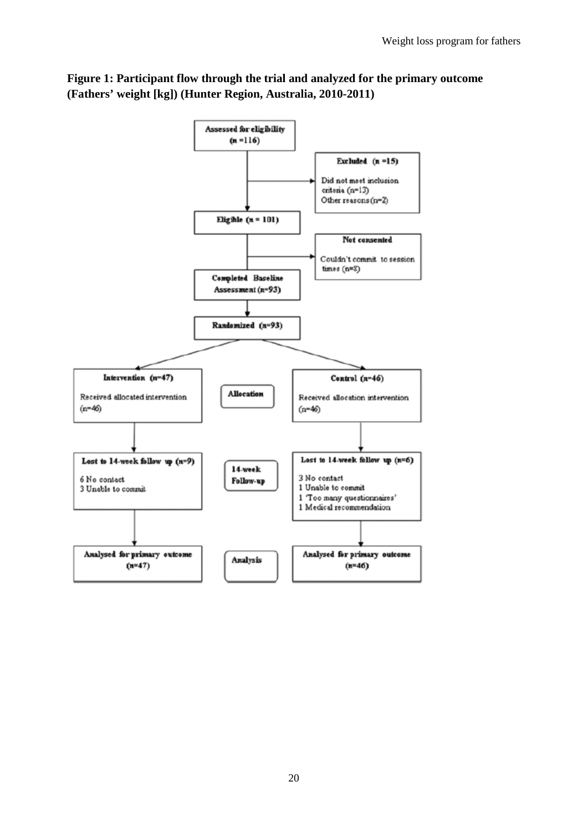

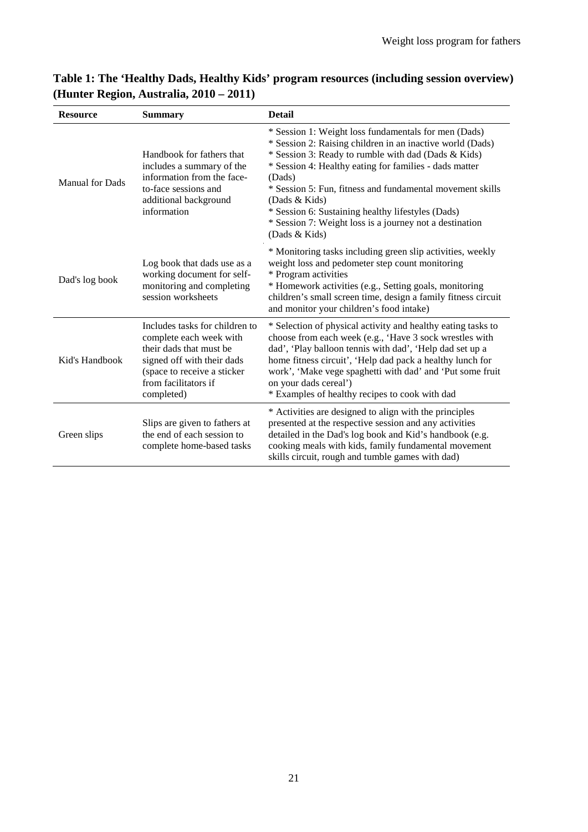| <b>Resource</b>                                                                                                                                                                                           | <b>Summary</b>                                                                                                                                       | <b>Detail</b>                                                                                                                                                                                                                                                                                                                                                                                                                                               |
|-----------------------------------------------------------------------------------------------------------------------------------------------------------------------------------------------------------|------------------------------------------------------------------------------------------------------------------------------------------------------|-------------------------------------------------------------------------------------------------------------------------------------------------------------------------------------------------------------------------------------------------------------------------------------------------------------------------------------------------------------------------------------------------------------------------------------------------------------|
| <b>Manual for Dads</b>                                                                                                                                                                                    | Handbook for fathers that<br>includes a summary of the<br>information from the face-<br>to-face sessions and<br>additional background<br>information | * Session 1: Weight loss fundamentals for men (Dads)<br>* Session 2: Raising children in an inactive world (Dads)<br>* Session 3: Ready to rumble with dad (Dads & Kids)<br>* Session 4: Healthy eating for families - dads matter<br>(Dads)<br>* Session 5: Fun, fitness and fundamental movement skills<br>(Dads & Kids)<br>* Session 6: Sustaining healthy lifestyles (Dads)<br>* Session 7: Weight loss is a journey not a destination<br>(Dads & Kids) |
| Dad's log book                                                                                                                                                                                            | Log book that dads use as a<br>working document for self-<br>monitoring and completing<br>session worksheets                                         | * Monitoring tasks including green slip activities, weekly<br>weight loss and pedometer step count monitoring<br>* Program activities<br>* Homework activities (e.g., Setting goals, monitoring<br>children's small screen time, design a family fitness circuit<br>and monitor your children's food intake)                                                                                                                                                |
| Includes tasks for children to<br>complete each week with<br>their dads that must be<br>Kid's Handbook<br>signed off with their dads<br>(space to receive a sticker<br>from facilitators if<br>completed) |                                                                                                                                                      | * Selection of physical activity and healthy eating tasks to<br>choose from each week (e.g., 'Have 3 sock wrestles with<br>dad', 'Play balloon tennis with dad', 'Help dad set up a<br>home fitness circuit', 'Help dad pack a healthy lunch for<br>work', 'Make vege spaghetti with dad' and 'Put some fruit<br>on your dads cereal')<br>* Examples of healthy recipes to cook with dad                                                                    |
| Green slips                                                                                                                                                                                               | Slips are given to fathers at<br>the end of each session to<br>complete home-based tasks                                                             | * Activities are designed to align with the principles<br>presented at the respective session and any activities<br>detailed in the Dad's log book and Kid's handbook (e.g.<br>cooking meals with kids, family fundamental movement<br>skills circuit, rough and tumble games with dad)                                                                                                                                                                     |

# **Table 1: The 'Healthy Dads, Healthy Kids' program resources (including session overview) (Hunter Region, Australia, 2010 – 2011)**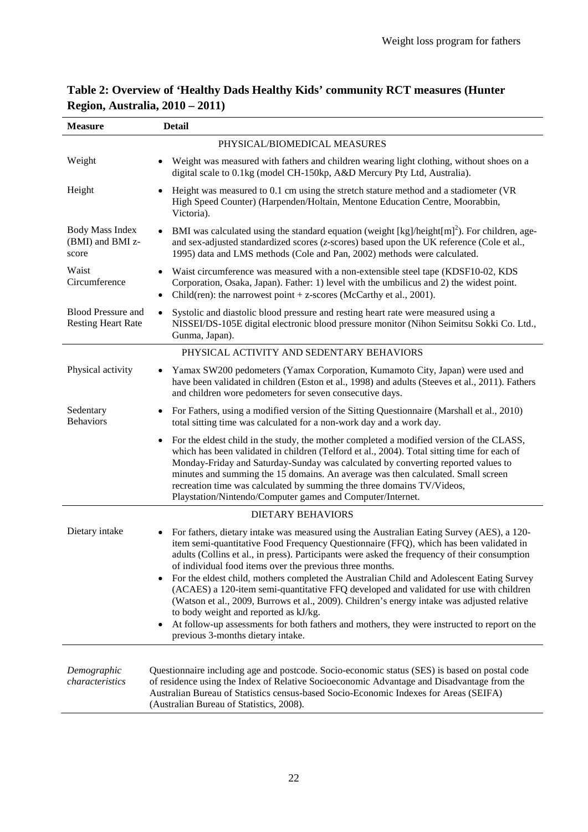| <b>Measure</b>                                         | <b>Detail</b>                                                                                                                                                                                                                                                                                                                                                                                                                                                                                                                                                                                                                                                                                                                                                                                                                                  |
|--------------------------------------------------------|------------------------------------------------------------------------------------------------------------------------------------------------------------------------------------------------------------------------------------------------------------------------------------------------------------------------------------------------------------------------------------------------------------------------------------------------------------------------------------------------------------------------------------------------------------------------------------------------------------------------------------------------------------------------------------------------------------------------------------------------------------------------------------------------------------------------------------------------|
|                                                        | PHYSICAL/BIOMEDICAL MEASURES                                                                                                                                                                                                                                                                                                                                                                                                                                                                                                                                                                                                                                                                                                                                                                                                                   |
| Weight                                                 | Weight was measured with fathers and children wearing light clothing, without shoes on a<br>digital scale to 0.1kg (model CH-150kp, A&D Mercury Pty Ltd, Australia).                                                                                                                                                                                                                                                                                                                                                                                                                                                                                                                                                                                                                                                                           |
| Height                                                 | Height was measured to 0.1 cm using the stretch stature method and a stadiometer (VR<br>High Speed Counter) (Harpenden/Holtain, Mentone Education Centre, Moorabbin,<br>Victoria).                                                                                                                                                                                                                                                                                                                                                                                                                                                                                                                                                                                                                                                             |
| <b>Body Mass Index</b><br>(BMI) and BMI z-<br>score    | BMI was calculated using the standard equation (weight $\lceil \log \rceil / \text{height} \rceil \rceil$ ). For children, age-<br>and sex-adjusted standardized scores (z-scores) based upon the UK reference (Cole et al.,<br>1995) data and LMS methods (Cole and Pan, 2002) methods were calculated.                                                                                                                                                                                                                                                                                                                                                                                                                                                                                                                                       |
| Waist<br>Circumference                                 | Waist circumference was measured with a non-extensible steel tape (KDSF10-02, KDS<br>Corporation, Osaka, Japan). Father: 1) level with the umbilicus and 2) the widest point.<br>Child(ren): the narrowest point $+$ z-scores (McCarthy et al., 2001).<br>$\bullet$                                                                                                                                                                                                                                                                                                                                                                                                                                                                                                                                                                            |
| <b>Blood Pressure and</b><br><b>Resting Heart Rate</b> | Systolic and diastolic blood pressure and resting heart rate were measured using a<br>$\bullet$<br>NISSEI/DS-105E digital electronic blood pressure monitor (Nihon Seimitsu Sokki Co. Ltd.,<br>Gunma, Japan).                                                                                                                                                                                                                                                                                                                                                                                                                                                                                                                                                                                                                                  |
|                                                        | PHYSICAL ACTIVITY AND SEDENTARY BEHAVIORS                                                                                                                                                                                                                                                                                                                                                                                                                                                                                                                                                                                                                                                                                                                                                                                                      |
| Physical activity                                      | Yamax SW200 pedometers (Yamax Corporation, Kumamoto City, Japan) were used and<br>$\bullet$<br>have been validated in children (Eston et al., 1998) and adults (Steeves et al., 2011). Fathers<br>and children wore pedometers for seven consecutive days.                                                                                                                                                                                                                                                                                                                                                                                                                                                                                                                                                                                     |
| Sedentary<br><b>Behaviors</b>                          | For Fathers, using a modified version of the Sitting Questionnaire (Marshall et al., 2010)<br>$\bullet$<br>total sitting time was calculated for a non-work day and a work day.                                                                                                                                                                                                                                                                                                                                                                                                                                                                                                                                                                                                                                                                |
|                                                        | For the eldest child in the study, the mother completed a modified version of the CLASS,<br>$\bullet$<br>which has been validated in children (Telford et al., 2004). Total sitting time for each of<br>Monday-Friday and Saturday-Sunday was calculated by converting reported values to<br>minutes and summing the 15 domains. An average was then calculated. Small screen<br>recreation time was calculated by summing the three domains TV/Videos,<br>Playstation/Nintendo/Computer games and Computer/Internet.                                                                                                                                                                                                                                                                                                                          |
|                                                        | <b>DIETARY BEHAVIORS</b>                                                                                                                                                                                                                                                                                                                                                                                                                                                                                                                                                                                                                                                                                                                                                                                                                       |
| Dietary intake                                         | For fathers, dietary intake was measured using the Australian Eating Survey (AES), a 120-<br>$\bullet$<br>item semi-quantitative Food Frequency Questionnaire (FFQ), which has been validated in<br>adults (Collins et al., in press). Participants were asked the frequency of their consumption<br>of individual food items over the previous three months.<br>For the eldest child, mothers completed the Australian Child and Adolescent Eating Survey<br>(ACAES) a 120-item semi-quantitative FFQ developed and validated for use with children<br>(Watson et al., 2009, Burrows et al., 2009). Children's energy intake was adjusted relative<br>to body weight and reported as kJ/kg.<br>At follow-up assessments for both fathers and mothers, they were instructed to report on the<br>$\bullet$<br>previous 3-months dietary intake. |
| Demographic<br>characteristics                         | Questionnaire including age and postcode. Socio-economic status (SES) is based on postal code<br>of residence using the Index of Relative Socioeconomic Advantage and Disadvantage from the<br>Australian Bureau of Statistics census-based Socio-Economic Indexes for Areas (SEIFA)<br>(Australian Bureau of Statistics, 2008).                                                                                                                                                                                                                                                                                                                                                                                                                                                                                                               |

# **Table 2: Overview of 'Healthy Dads Healthy Kids' community RCT measures (Hunter Region, Australia, 2010 – 2011)**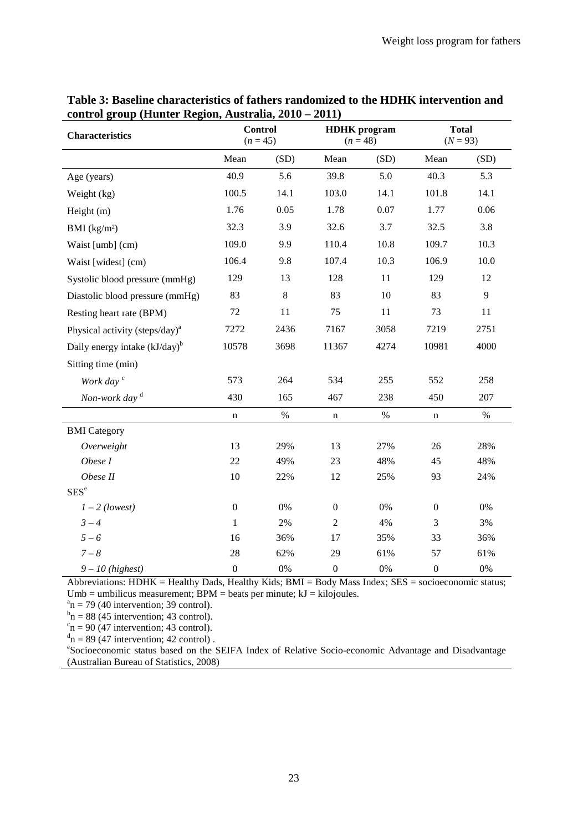| <b>Characteristics</b>                     | <b>Control</b><br>$(n = 45)$ |         | <b>HDHK</b> program<br>$(n = 48)$ |      | <b>Total</b><br>$(N = 93)$ |       |
|--------------------------------------------|------------------------------|---------|-----------------------------------|------|----------------------------|-------|
|                                            | Mean                         | (SD)    | Mean                              | (SD) | Mean                       | (SD)  |
| Age (years)                                | 40.9                         | 5.6     | 39.8                              | 5.0  | 40.3                       | 5.3   |
| Weight (kg)                                | 100.5                        | 14.1    | 103.0                             | 14.1 | 101.8                      | 14.1  |
| Height (m)                                 | 1.76                         | 0.05    | 1.78                              | 0.07 | 1.77                       | 0.06  |
| BMI $(kg/m2)$                              | 32.3                         | 3.9     | 32.6                              | 3.7  | 32.5                       | 3.8   |
| Waist [umb] (cm)                           | 109.0                        | 9.9     | 110.4                             | 10.8 | 109.7                      | 10.3  |
| Waist [widest] (cm)                        | 106.4                        | 9.8     | 107.4                             | 10.3 | 106.9                      | 10.0  |
| Systolic blood pressure (mmHg)             | 129                          | 13      | 128                               | 11   | 129                        | 12    |
| Diastolic blood pressure (mmHg)            | 83                           | $\,8\,$ | 83                                | 10   | 83                         | 9     |
| Resting heart rate (BPM)                   | 72                           | 11      | 75                                | 11   | 73                         | 11    |
| Physical activity (steps/day) <sup>a</sup> | 7272                         | 2436    | 7167                              | 3058 | 7219                       | 2751  |
| Daily energy intake $(kJ/day)^b$           | 10578                        | 3698    | 11367                             | 4274 | 10981                      | 4000  |
| Sitting time (min)                         |                              |         |                                   |      |                            |       |
| Work day <sup>c</sup>                      | 573                          | 264     | 534                               | 255  | 552                        | 258   |
| Non-work day $d$                           | 430                          | 165     | 467                               | 238  | 450                        | 207   |
|                                            | $\mathbf n$                  | $\%$    | n                                 | $\%$ | $\mathbf n$                | $\%$  |
| <b>BMI</b> Category                        |                              |         |                                   |      |                            |       |
| Overweight                                 | 13                           | 29%     | 13                                | 27%  | 26                         | 28%   |
| Obese I                                    | 22                           | 49%     | 23                                | 48%  | 45                         | 48%   |
| Obese II                                   | 10                           | 22%     | 12                                | 25%  | 93                         | 24%   |
| SES <sup>e</sup>                           |                              |         |                                   |      |                            |       |
| $1 - 2$ (lowest)                           | $\boldsymbol{0}$             | 0%      | $\boldsymbol{0}$                  | 0%   | $\boldsymbol{0}$           | $0\%$ |
| $3 - 4$                                    | $\mathbf{1}$                 | 2%      | $\overline{2}$                    | 4%   | 3                          | 3%    |
| $5 - 6$                                    | 16                           | 36%     | 17                                | 35%  | 33                         | 36%   |
| $7 - 8$                                    | 28                           | 62%     | 29                                | 61%  | 57                         | 61%   |
| $9-10$ (highest)                           | $\boldsymbol{0}$             | 0%      | $\boldsymbol{0}$                  | 0%   | $\boldsymbol{0}$           | $0\%$ |

# **Table 3: Baseline characteristics of fathers randomized to the HDHK intervention and control group (Hunter Region, Australia, 2010 – 2011)**

Abbreviations: HDHK = Healthy Dads, Healthy Kids; BMI = Body Mass Index; SES = socioeconomic status;  $Umb =$  umbilicus measurement; BPM = beats per minute;  $kJ =$  kilojoules.

 $n_{\rm n}$  = 79 (40 intervention; 39 control).

 $n_{\rm n}$  = 88 (45 intervention; 43 control).

 $c_n = 90$  (47 intervention; 43 control).

 $n = 89$  (47 intervention; 42 control).

Socioeconomic status based on the SEIFA Index of Relative Socio-economic Advantage and Disadvantage [\(Australian Bureau of Statistics, 2008\)](#page-15-18)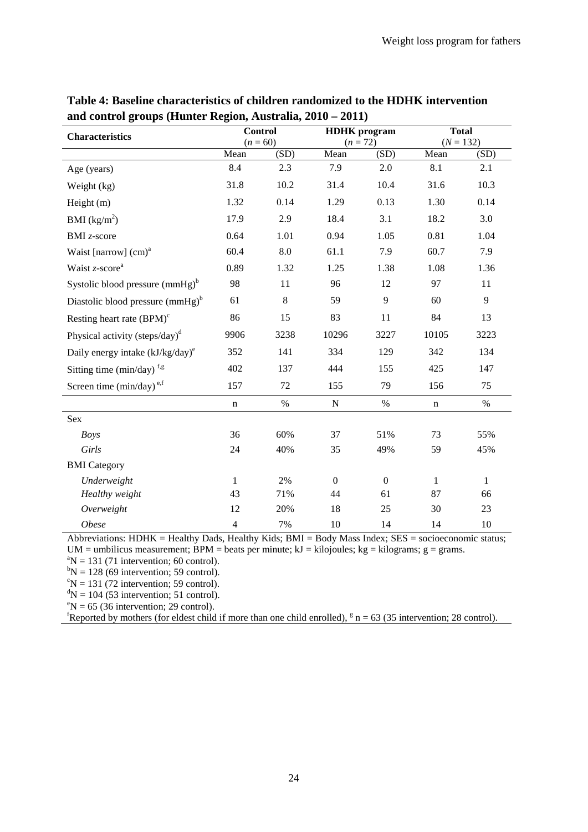| <b>Characteristics</b>                     | <b>Control</b> |         | <b>HDHK</b> program |                  | <b>Total</b> |             |  |
|--------------------------------------------|----------------|---------|---------------------|------------------|--------------|-------------|--|
|                                            | $(n = 60)$     |         |                     | $(n = 72)$       |              | $(N = 132)$ |  |
|                                            | Mean           | (SD)    | Mean                | (SD)             | Mean         | (SD)        |  |
| Age (years)                                | 8.4            | 2.3     | 7.9                 | 2.0              | 8.1          | 2.1         |  |
| Weight (kg)                                | 31.8           | 10.2    | 31.4                | 10.4             | 31.6         | 10.3        |  |
| Height $(m)$                               | 1.32           | 0.14    | 1.29                | 0.13             | 1.30         | 0.14        |  |
| BMI $(kg/m^2)$                             | 17.9           | 2.9     | 18.4                | 3.1              | 18.2         | 3.0         |  |
| <b>BMI</b> <i>z</i> -score                 | 0.64           | 1.01    | 0.94                | 1.05             | 0.81         | 1.04        |  |
| Waist [narrow] $(cm)^a$                    | 60.4           | 8.0     | 61.1                | 7.9              | 60.7         | 7.9         |  |
| Waist z-score <sup>a</sup>                 | 0.89           | 1.32    | 1.25                | 1.38             | 1.08         | 1.36        |  |
| Systolic blood pressure $(mmHg)^b$         | 98             | 11      | 96                  | 12               | 97           | 11          |  |
| Diastolic blood pressure $(mmHg)^b$        | 61             | $\,8\,$ | 59                  | 9                | 60           | 9           |  |
| Resting heart rate $(BPM)$ <sup>c</sup>    | 86             | 15      | 83                  | 11               | 84           | 13          |  |
| Physical activity (steps/day) <sup>d</sup> | 9906           | 3238    | 10296               | 3227             | 10105        | 3223        |  |
| Daily energy intake $(kJ/kg/day)^e$        | 352            | 141     | 334                 | 129              | 342          | 134         |  |
| Sitting time (min/day) $f, g$              | 402            | 137     | 444                 | 155              | 425          | 147         |  |
| Screen time (min/day) <sup>e,f</sup>       | 157            | 72      | 155                 | 79               | 156          | 75          |  |
|                                            | $\mathbf n$    | $\%$    | ${\bf N}$           | $\%$             | $\mathbf n$  | $\%$        |  |
| Sex                                        |                |         |                     |                  |              |             |  |
| <b>Boys</b>                                | 36             | 60%     | 37                  | 51%              | 73           | 55%         |  |
| Girls                                      | 24             | 40%     | 35                  | 49%              | 59           | 45%         |  |
| <b>BMI</b> Category                        |                |         |                     |                  |              |             |  |
| Underweight                                | $\mathbf{1}$   | 2%      | $\Omega$            | $\boldsymbol{0}$ | 1            | 1           |  |
| Healthy weight                             | 43             | 71%     | 44                  | 61               | 87           | 66          |  |
| Overweight                                 | 12             | 20%     | 18                  | 25               | 30           | 23          |  |
| <b>Obese</b>                               | $\overline{4}$ | 7%      | 10                  | 14               | 14           | 10          |  |

**Table 4: Baseline characteristics of children randomized to the HDHK intervention and control groups (Hunter Region, Australia, 2010 – 2011)**

Abbreviations: HDHK = Healthy Dads, Healthy Kids; BMI = Body Mass Index; SES = socioeconomic status; UM = umbilicus measurement; BPM = beats per minute;  $kJ = kilojoules$ ;  $kg = kilograms$ ; g = grams.

 $N = 131$  (71 intervention; 60 control).

 ${}^{b}N = 128$  (69 intervention; 59 control).

 $\mathrm{N} = 131$  (72 intervention; 59 control).

 $N = 104$  (53 intervention; 51 control).

 $\mathrm{P}N = 65$  (36 intervention; 29 control).

<sup>f</sup>Reported by mothers (for eldest child if more than one child enrolled),  $g n = 63$  (35 intervention; 28 control).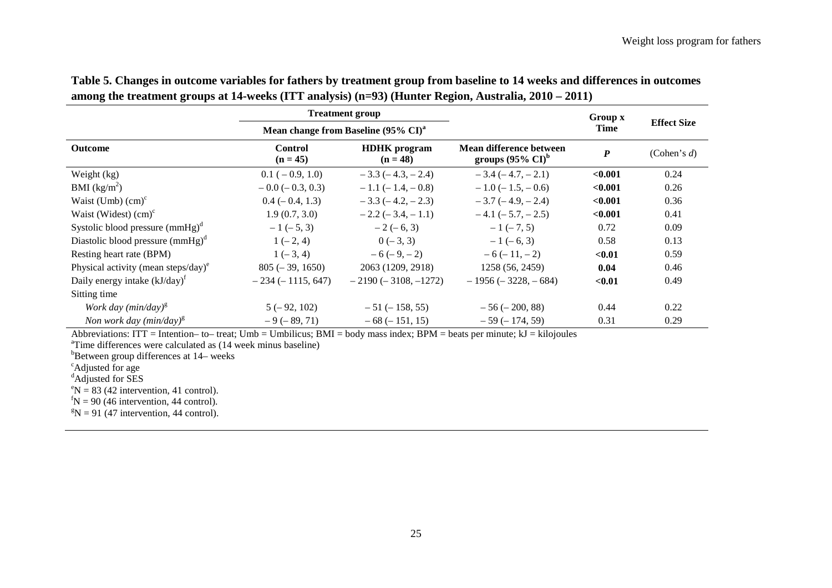|                                                 |                              | <b>Treatment group</b>                          |                                                         | Group x          | <b>Effect Size</b> |
|-------------------------------------------------|------------------------------|-------------------------------------------------|---------------------------------------------------------|------------------|--------------------|
|                                                 |                              | Mean change from Baseline (95% CI) <sup>a</sup> |                                                         | Time             |                    |
| <b>Outcome</b>                                  | <b>Control</b><br>$(n = 45)$ | <b>HDHK</b> program<br>$(n = 48)$               | Mean difference between<br>groups $(95\% \text{ CI})^6$ | $\boldsymbol{P}$ | (Cohen's $d$ )     |
| Weight (kg)                                     | $0.1 (-0.9, 1.0)$            | $-3.3(-4.3,-2.4)$                               | $-3.4(-4.7,-2.1)$                                       | < 0.001          | 0.24               |
| BMI $(kg/m^2)$                                  | $-0.0$ ( $-0.3, 0.3$ )       | $-1.1$ ( $-1.4$ , $-0.8$ )                      | $-1.0$ ( $-1.5, -0.6$ )                                 | < 0.001          | 0.26               |
| Waist (Umb) $\text{(cm)}^c$                     | $0.4 (-0.4, 1.3)$            | $-3.3(-4.2,-2.3)$                               | $-3.7(-4.9,-2.4)$                                       | < 0.001          | 0.36               |
| Waist (Widest) $(cm)^c$                         | 1.9(0.7, 3.0)                | $-2.2$ ( $-3.4$ , $-1.1$ )                      | $-4.1$ ( $-5.7, -2.5$ )                                 | < 0.001          | 0.41               |
| Systolic blood pressure $(mmHg)^d$              | $-1(-5, 3)$                  | $-2(-6, 3)$                                     | $-1(-7, 5)$                                             | 0.72             | 0.09               |
| Diastolic blood pressure $(mmHg)^d$             | $1(-2, 4)$                   | $0(-3, 3)$                                      | $-1(-6, 3)$                                             | 0.58             | 0.13               |
| Resting heart rate (BPM)                        | $1(-3, 4)$                   | $-6(-9,-2)$                                     | $-6(-11,-2)$                                            | < 0.01           | 0.59               |
| Physical activity (mean steps/day) <sup>e</sup> | $805 (-39, 1650)$            | 2063 (1209, 2918)                               | 1258 (56, 2459)                                         | 0.04             | 0.46               |
| Daily energy intake $(kJ/day)^t$                | $-234(-1115, 647)$           | $-2190 (-3108, -1272)$                          | $-1956$ ( $-3228, -684$ )                               | $0.01$           | 0.49               |
| Sitting time                                    |                              |                                                 |                                                         |                  |                    |
| Work day ( $min/day$ ) <sup>g</sup>             | $5(-92, 102)$                | $-51$ ( $-158, 55$ )                            | $-56 (-200, 88)$                                        | 0.44             | 0.22               |
| Non work day (min/day) <sup>g</sup>             | $-9(-89, 71)$                | $-68 (-151, 15)$                                | $-59(-174, 59)$                                         | 0.31             | 0.29               |

| Table 5. Changes in outcome variables for fathers by treatment group from baseline to 14 weeks and differences in outcomes |
|----------------------------------------------------------------------------------------------------------------------------|
| among the treatment groups at 14-weeks (ITT analysis) (n=93) (Hunter Region, Australia, 2010 – 2011)                       |

Abbreviations: ITT = Intention– to– treat; Umb = Umbilicus; BMI = body mass index; BPM = beats per minute;  $kJ$  = kilojoules

<sup>a</sup>Time differences were calculated as (14 week minus baseline)

 $b^b$ Between group differences at 14– weeks

<sup>c</sup>Adjusted for age<br><sup>d</sup>Adjusted for SES

 ${}^{\text{e}}$ N = 83 (42 intervention, 41 control).<br> ${}^{\text{f}}$ N = 90 (46 intervention, 44 control).

 ${}^fN = 90$  (46 intervention, 44 control).

 $N = 91$  (47 intervention, 44 control).